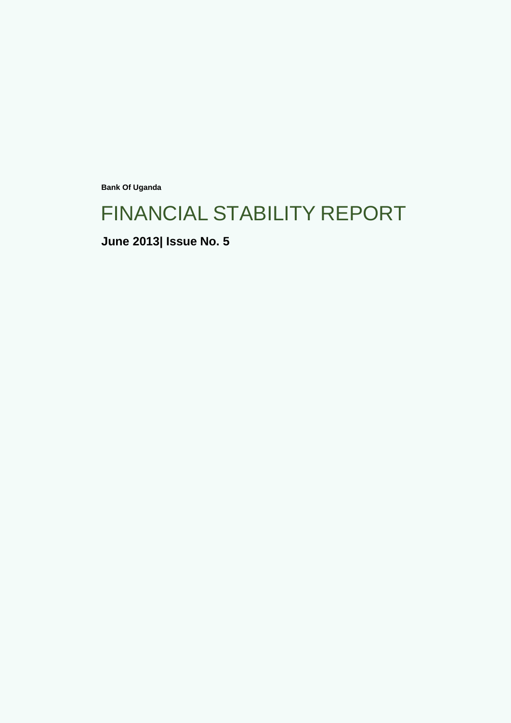**Bank Of Uganda**

# FINANCIAL STABILITY REPORT

**June 2013| Issue No. 5**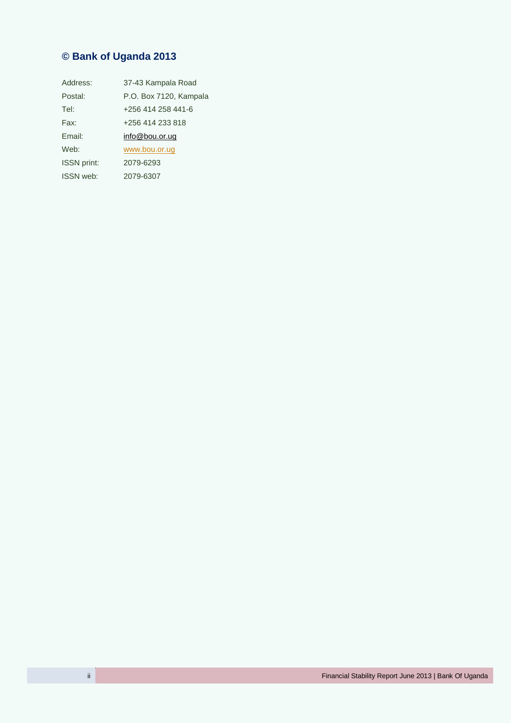## **© Bank of Uganda 2013**

| Address:           | 37-43 Kampala Road     |
|--------------------|------------------------|
| Postal:            | P.O. Box 7120, Kampala |
| Tel:               | +256 414 258 441-6     |
| Fax:               | +256 414 233 818       |
| Email:             | info@bou.or.ug         |
| Web:               | www.bou.or.ug          |
| <b>ISSN</b> print: | 2079-6293              |
| <b>ISSN</b> web:   | 2079-6307              |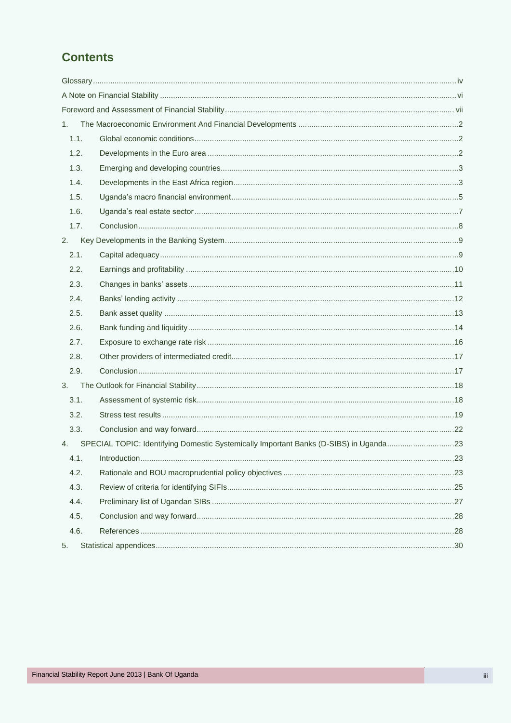## **Contents**

| 1.   |                                                                                       |     |
|------|---------------------------------------------------------------------------------------|-----|
| 1.1. |                                                                                       |     |
| 1.2. |                                                                                       |     |
| 1.3. |                                                                                       |     |
| 1.4. |                                                                                       |     |
| 1.5. |                                                                                       |     |
| 1.6. |                                                                                       |     |
| 1.7. |                                                                                       |     |
| 2.   |                                                                                       |     |
| 2.1. |                                                                                       |     |
| 2.2. |                                                                                       |     |
| 2.3. |                                                                                       |     |
| 2.4. |                                                                                       |     |
| 2.5. |                                                                                       |     |
| 2.6. |                                                                                       |     |
| 2.7. |                                                                                       |     |
| 2.8. |                                                                                       |     |
| 2.9. |                                                                                       |     |
| 3.   |                                                                                       |     |
| 3.1. |                                                                                       |     |
| 3.2. |                                                                                       |     |
| 3.3. |                                                                                       |     |
| 4.   | SPECIAL TOPIC: Identifying Domestic Systemically Important Banks (D-SIBS) in Uganda23 |     |
| 4.1. | Introduction                                                                          | .23 |
| 4.2. |                                                                                       |     |
| 4.3. |                                                                                       |     |
| 4.4. |                                                                                       |     |
| 4.5. |                                                                                       |     |
| 4.6. |                                                                                       |     |
| 5.   |                                                                                       |     |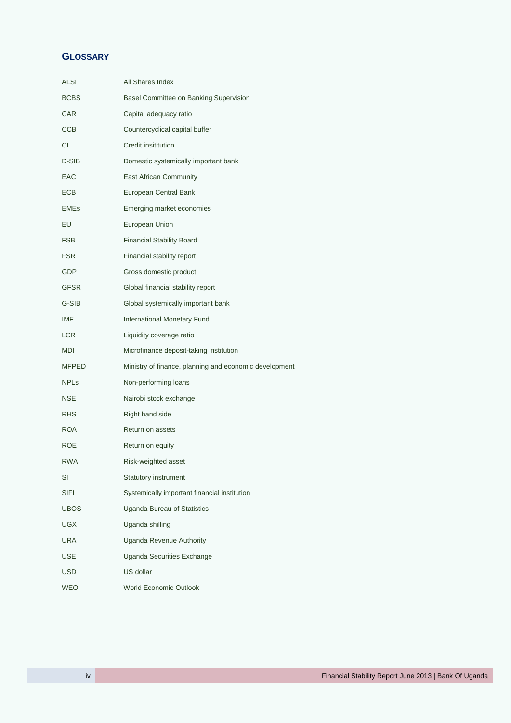## <span id="page-3-0"></span>**GLOSSARY**

| ALSI         | All Shares Index                                       |
|--------------|--------------------------------------------------------|
| BCBS         | Basel Committee on Banking Supervision                 |
| CAR          | Capital adequacy ratio                                 |
| ССВ          | Countercyclical capital buffer                         |
| СI           | Credit insititution                                    |
| D-SIB        | Domestic systemically important bank                   |
| EAC          | East African Community                                 |
| ECB          | European Central Bank                                  |
| EMEs         | Emerging market economies                              |
| EU           | European Union                                         |
| FSB          | <b>Financial Stability Board</b>                       |
| <b>FSR</b>   | Financial stability report                             |
| GDP          | Gross domestic product                                 |
| GFSR         | Global financial stability report                      |
| G-SIB        | Global systemically important bank                     |
| IMF          | <b>International Monetary Fund</b>                     |
| LCR          | Liquidity coverage ratio                               |
| MDI          | Microfinance deposit-taking institution                |
| <b>MFPED</b> | Ministry of finance, planning and economic development |
| <b>NPLs</b>  | Non-performing loans                                   |
| NSE          | Nairobi stock exchange                                 |
| RHS          | Right hand side                                        |
| ROA          | Return on assets                                       |
| ROE          | Return on equity                                       |
| <b>RWA</b>   | Risk-weighted asset                                    |
| SI           | <b>Statutory instrument</b>                            |
| SIFI         | Systemically important financial institution           |
| <b>UBOS</b>  | Uganda Bureau of Statistics                            |
| UGX          | Uganda shilling                                        |
| URA          | <b>Uganda Revenue Authority</b>                        |
| USE          | Uganda Securities Exchange                             |
| USD          | US dollar                                              |
| <b>WEO</b>   | World Economic Outlook                                 |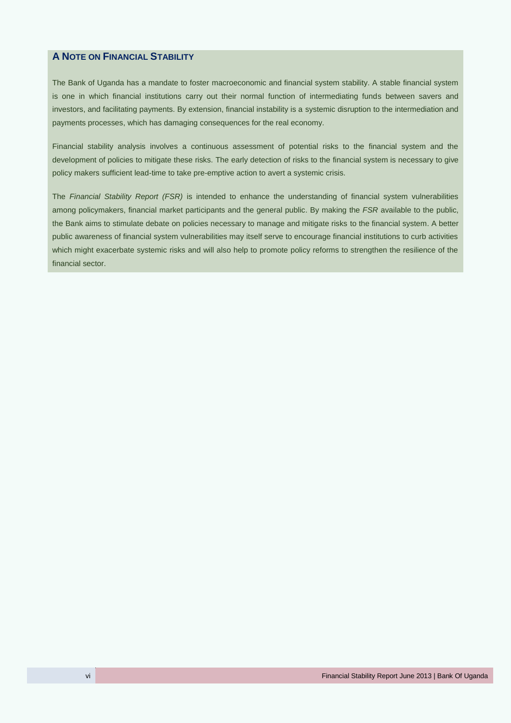## <span id="page-5-0"></span>**A NOTE ON FINANCIAL STABILITY**

The Bank of Uganda has a mandate to foster macroeconomic and financial system stability. A stable financial system is one in which financial institutions carry out their normal function of intermediating funds between savers and investors, and facilitating payments. By extension, financial instability is a systemic disruption to the intermediation and payments processes, which has damaging consequences for the real economy.

Financial stability analysis involves a continuous assessment of potential risks to the financial system and the development of policies to mitigate these risks. The early detection of risks to the financial system is necessary to give policy makers sufficient lead-time to take pre-emptive action to avert a systemic crisis.

The *Financial Stability Report (FSR)* is intended to enhance the understanding of financial system vulnerabilities among policymakers, financial market participants and the general public. By making the *FSR* available to the public, the Bank aims to stimulate debate on policies necessary to manage and mitigate risks to the financial system. A better public awareness of financial system vulnerabilities may itself serve to encourage financial institutions to curb activities which might exacerbate systemic risks and will also help to promote policy reforms to strengthen the resilience of the financial sector.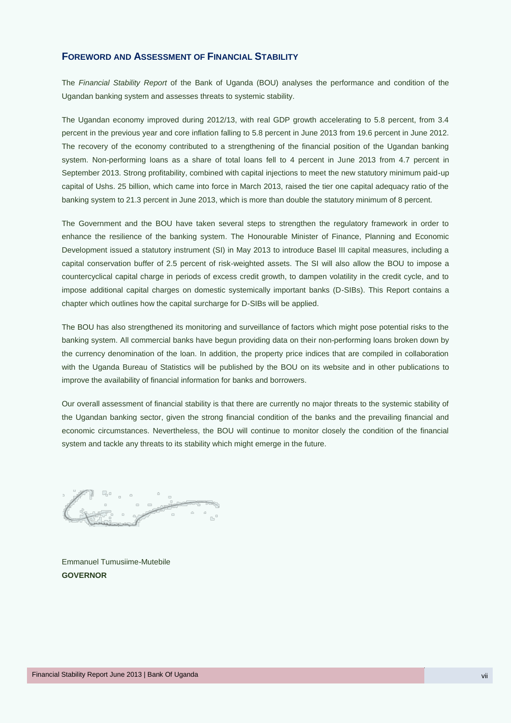## <span id="page-6-0"></span>**FOREWORD AND ASSESSMENT OF FINANCIAL STABILITY**

The *Financial Stability Report* of the Bank of Uganda (BOU) analyses the performance and condition of the Ugandan banking system and assesses threats to systemic stability.

The Ugandan economy improved during 2012/13, with real GDP growth accelerating to 5.8 percent, from 3.4 percent in the previous year and core inflation falling to 5.8 percent in June 2013 from 19.6 percent in June 2012. The recovery of the economy contributed to a strengthening of the financial position of the Ugandan banking system. Non-performing loans as a share of total loans fell to 4 percent in June 2013 from 4.7 percent in September 2013. Strong profitability, combined with capital injections to meet the new statutory minimum paid-up capital of Ushs. 25 billion, which came into force in March 2013, raised the tier one capital adequacy ratio of the banking system to 21.3 percent in June 2013, which is more than double the statutory minimum of 8 percent.

The Government and the BOU have taken several steps to strengthen the regulatory framework in order to enhance the resilience of the banking system. The Honourable Minister of Finance, Planning and Economic Development issued a statutory instrument (SI) in May 2013 to introduce Basel III capital measures, including a capital conservation buffer of 2.5 percent of risk-weighted assets. The SI will also allow the BOU to impose a countercyclical capital charge in periods of excess credit growth, to dampen volatility in the credit cycle, and to impose additional capital charges on domestic systemically important banks (D-SIBs). This Report contains a chapter which outlines how the capital surcharge for D-SIBs will be applied.

The BOU has also strengthened its monitoring and surveillance of factors which might pose potential risks to the banking system. All commercial banks have begun providing data on their non-performing loans broken down by the currency denomination of the loan. In addition, the property price indices that are compiled in collaboration with the Uganda Bureau of Statistics will be published by the BOU on its website and in other publications to improve the availability of financial information for banks and borrowers.

Our overall assessment of financial stability is that there are currently no major threats to the systemic stability of the Ugandan banking sector, given the strong financial condition of the banks and the prevailing financial and economic circumstances. Nevertheless, the BOU will continue to monitor closely the condition of the financial system and tackle any threats to its stability which might emerge in the future.

Emmanuel Tumusiime-Mutebile **GOVERNOR**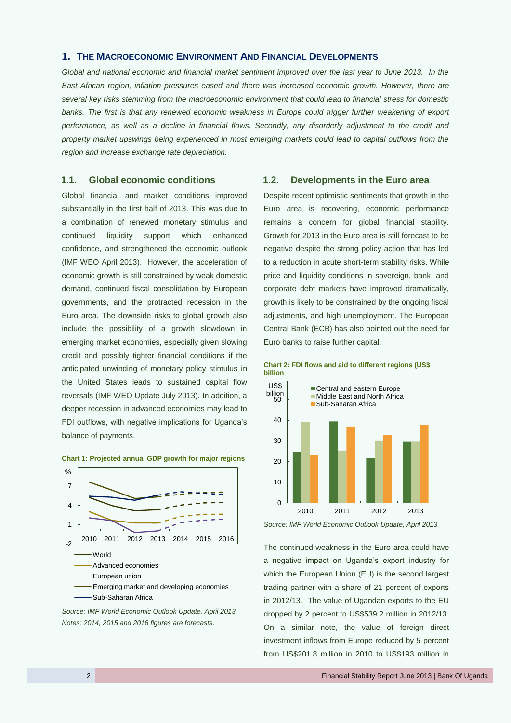## <span id="page-9-0"></span>**1. THE MACROECONOMIC ENVIRONMENT AND FINANCIAL DEVELOPMENTS**

*Global and national economic and financial market sentiment improved over the last year to June 2013. In the East African region, inflation pressures eased and there was increased economic growth. However, there are several key risks stemming from the macroeconomic environment that could lead to financial stress for domestic*  banks. The first is that any renewed economic weakness in Europe could trigger further weakening of export *performance, as well as a decline in financial flows. Secondly, any disorderly adjustment to the credit and property market upswings being experienced in most emerging markets could lead to capital outflows from the region and increase exchange rate depreciation.*

## <span id="page-9-1"></span>**1.1. Global economic conditions**

Global financial and market conditions improved substantially in the first half of 2013. This was due to a combination of renewed monetary stimulus and continued liquidity support which enhanced confidence, and strengthened the economic outlook (IMF WEO April 2013). However, the acceleration of economic growth is still constrained by weak domestic demand, continued fiscal consolidation by European governments, and the protracted recession in the Euro area. The downside risks to global growth also include the possibility of a growth slowdown in emerging market economies, especially given slowing credit and possibly tighter financial conditions if the anticipated unwinding of monetary policy stimulus in the United States leads to sustained capital flow reversals (IMF WEO Update July 2013). In addition, a deeper recession in advanced economies may lead to FDI outflows, with negative implications for Uganda's balance of payments.



#### **Chart 1: Projected annual GDP growth for major regions**

*Notes: 2014, 2015 and 2016 figures are forecasts.*

## <span id="page-9-2"></span>**1.2. Developments in the Euro area**

Despite recent optimistic sentiments that growth in the Euro area is recovering, economic performance remains a concern for global financial stability. Growth for 2013 in the Euro area is still forecast to be negative despite the strong policy action that has led to a reduction in acute short-term stability risks. While price and liquidity conditions in sovereign, bank, and corporate debt markets have improved dramatically, growth is likely to be constrained by the ongoing fiscal adjustments, and high unemployment. The European Central Bank (ECB) has also pointed out the need for Euro banks to raise further capital.





*Source: IMF World Economic Outlook Update, April 2013*

The continued weakness in the Euro area could have a negative impact on Uganda's export industry for which the European Union (EU) is the second largest trading partner with a share of 21 percent of exports in 2012/13. The value of Ugandan exports to the EU dropped by 2 percent to US\$539.2 million in 2012/13. On a similar note, the value of foreign direct investment inflows from Europe reduced by 5 percent from US\$201.8 million in 2010 to US\$193 million in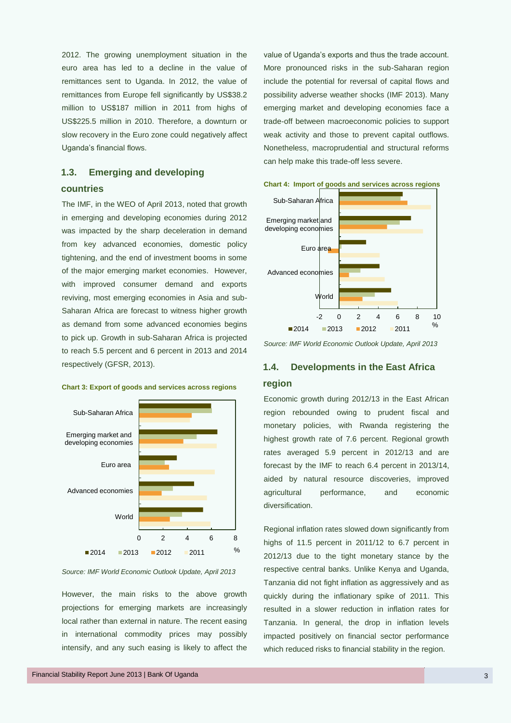2012. The growing unemployment situation in the euro area has led to a decline in the value of remittances sent to Uganda. In 2012, the value of remittances from Europe fell significantly by US\$38.2 million to US\$187 million in 2011 from highs of US\$225.5 million in 2010. Therefore, a downturn or slow recovery in the Euro zone could negatively affect Uganda's financial flows.

## <span id="page-10-0"></span>**1.3. Emerging and developing**

## **countries**

The IMF, in the WEO of April 2013, noted that growth in emerging and developing economies during 2012 was impacted by the sharp deceleration in demand from key advanced economies, domestic policy tightening, and the end of investment booms in some of the major emerging market economies. However, with improved consumer demand and exports reviving, most emerging economies in Asia and sub-Saharan Africa are forecast to witness higher growth as demand from some advanced economies begins to pick up. Growth in sub-Saharan Africa is projected to reach 5.5 percent and 6 percent in 2013 and 2014 respectively (GFSR, 2013).



#### **Chart 3: Export of goods and services across regions**

*Source: IMF World Economic Outlook Update, April 2013*

However, the main risks to the above growth projections for emerging markets are increasingly local rather than external in nature. The recent easing in international commodity prices may possibly intensify, and any such easing is likely to affect the value of Uganda's exports and thus the trade account. More pronounced risks in the sub-Saharan region include the potential for reversal of capital flows and possibility adverse weather shocks (IMF 2013). Many emerging market and developing economies face a trade-off between macroeconomic policies to support weak activity and those to prevent capital outflows. Nonetheless, macroprudential and structural reforms can help make this trade-off less severe.



**Chart 4: Import of goods and services across regions**

*Source: IMF World Economic Outlook Update, April 2013*

## <span id="page-10-1"></span>**1.4. Developments in the East Africa region**

Economic growth during 2012/13 in the East African region rebounded owing to prudent fiscal and monetary policies, with Rwanda registering the highest growth rate of 7.6 percent. Regional growth rates averaged 5.9 percent in 2012/13 and are forecast by the IMF to reach 6.4 percent in 2013/14, aided by natural resource discoveries, improved agricultural performance, and economic diversification.

Regional inflation rates slowed down significantly from highs of 11.5 percent in 2011/12 to 6.7 percent in 2012/13 due to the tight monetary stance by the respective central banks. Unlike Kenya and Uganda, Tanzania did not fight inflation as aggressively and as quickly during the inflationary spike of 2011. This resulted in a slower reduction in inflation rates for Tanzania. In general, the drop in inflation levels impacted positively on financial sector performance which reduced risks to financial stability in the region.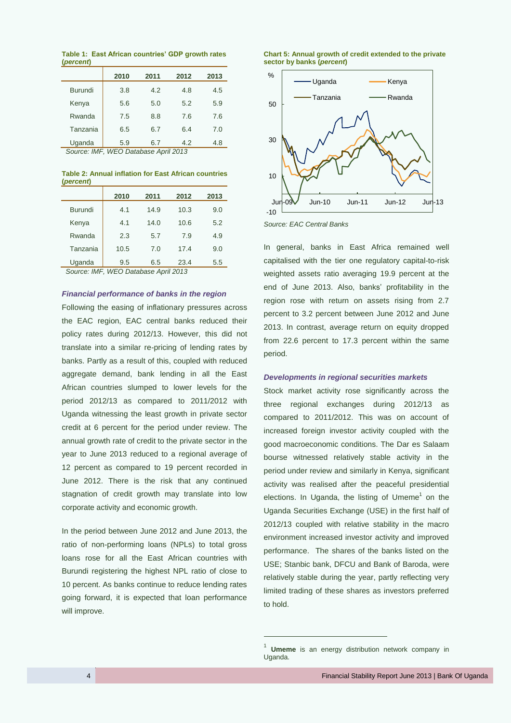**Table 1: East African countries' GDP growth rates (***percent***)**

|                | 2010 | 2011                             | 2012 | 2013 |
|----------------|------|----------------------------------|------|------|
| <b>Burundi</b> | 3.8  | 4.2                              | 4.8  | 4.5  |
| Kenya          | 5.6  | 5.0                              | 5.2  | 5.9  |
| Rwanda         | 7.5  | 8.8                              | 7.6  | 7.6  |
| Tanzania       | 6.5  | 6.7                              | 6.4  | 7.0  |
| Uganda         | 5.9  | 6.7<br>$14150 - 5411 - 54110040$ | 4.2  | 4.8  |

*Source: IMF, WEO Database April 2013*

**Table 2: Annual inflation for East African countries (***percent***)**

|                | 2010 | 2011 | 2012 | 2013 |
|----------------|------|------|------|------|
| <b>Burundi</b> | 4.1  | 14.9 | 10.3 | 9.0  |
| Kenya          | 4.1  | 14.0 | 10.6 | 5.2  |
| Rwanda         | 2.3  | 5.7  | 7.9  | 4.9  |
| Tanzania       | 10.5 | 7.0  | 17.4 | 9.0  |
| Uganda         | 9.5  | 6.5  | 23.4 | 5.5  |

*Source: IMF, WEO Database April 2013*

#### *Financial performance of banks in the region*

Following the easing of inflationary pressures across the EAC region, EAC central banks reduced their policy rates during 2012/13. However, this did not translate into a similar re-pricing of lending rates by banks. Partly as a result of this, coupled with reduced aggregate demand, bank lending in all the East African countries slumped to lower levels for the period 2012/13 as compared to 2011/2012 with Uganda witnessing the least growth in private sector credit at 6 percent for the period under review. The annual growth rate of credit to the private sector in the year to June 2013 reduced to a regional average of 12 percent as compared to 19 percent recorded in June 2012. There is the risk that any continued stagnation of credit growth may translate into low corporate activity and economic growth.

In the period between June 2012 and June 2013, the ratio of non-performing loans (NPLs) to total gross loans rose for all the East African countries with Burundi registering the highest NPL ratio of close to 10 percent. As banks continue to reduce lending rates going forward, it is expected that loan performance will improve.





*Source: EAC Central Banks*

In general, banks in East Africa remained well capitalised with the tier one regulatory capital-to-risk weighted assets ratio averaging 19.9 percent at the end of June 2013. Also, banks' profitability in the region rose with return on assets rising from 2.7 percent to 3.2 percent between June 2012 and June 2013. In contrast, average return on equity dropped from 22.6 percent to 17.3 percent within the same period.

#### *Developments in regional securities markets*

Stock market activity rose significantly across the three regional exchanges during 2012/13 as compared to 2011/2012. This was on account of increased foreign investor activity coupled with the good macroeconomic conditions. The Dar es Salaam bourse witnessed relatively stable activity in the period under review and similarly in Kenya, significant activity was realised after the peaceful presidential elections. In Uganda, the listing of Umeme<sup>1</sup> on the Uganda Securities Exchange (USE) in the first half of 2012/13 coupled with relative stability in the macro environment increased investor activity and improved performance. The shares of the banks listed on the USE; Stanbic bank, DFCU and Bank of Baroda, were relatively stable during the year, partly reflecting very limited trading of these shares as investors preferred to hold.

 $\overline{a}$ 

<sup>1</sup> **Umeme** is an energy distribution network company in Uganda.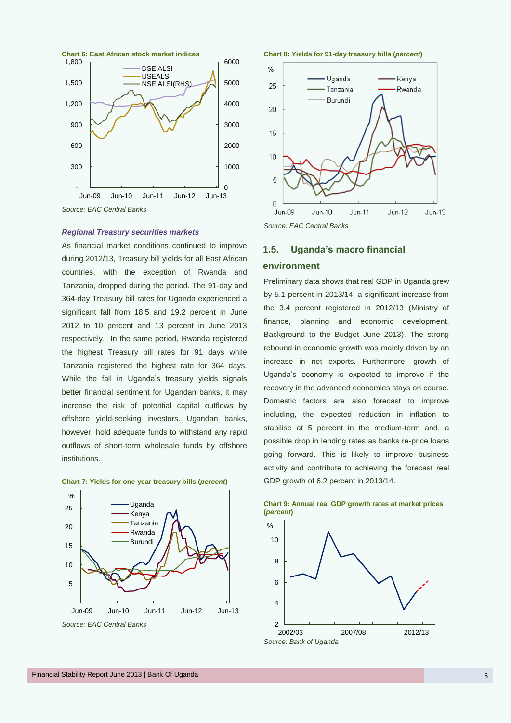

### *Regional Treasury securities markets*

As financial market conditions continued to improve during 2012/13, Treasury bill yields for all East African countries, with the exception of Rwanda and Tanzania, dropped during the period. The 91-day and 364-day Treasury bill rates for Uganda experienced a significant fall from 18.5 and 19.2 percent in June 2012 to 10 percent and 13 percent in June 2013 respectively. In the same period, Rwanda registered the highest Treasury bill rates for 91 days while Tanzania registered the highest rate for 364 days. While the fall in Uganda's treasury yields signals better financial sentiment for Ugandan banks, it may increase the risk of potential capital outflows by offshore yield-seeking investors. Ugandan banks, however, hold adequate funds to withstand any rapid outflows of short-term wholesale funds by offshore institutions.





*Source: EAC Central Banks*





<span id="page-12-0"></span>

## **1.5. Uganda's macro financial**

#### **environment**

Preliminary data shows that real GDP in Uganda grew by 5.1 percent in 2013/14, a significant increase from the 3.4 percent registered in 2012/13 (Ministry of finance, planning and economic development, Background to the Budget June 2013). The strong rebound in economic growth was mainly driven by an increase in net exports. Furthermore, growth of Uganda's economy is expected to improve if the recovery in the advanced economies stays on course. Domestic factors are also forecast to improve including, the expected reduction in inflation to stabilise at 5 percent in the medium-term and, a possible drop in lending rates as banks re-price loans going forward. This is likely to improve business activity and contribute to achieving the forecast real GDP growth of 6.2 percent in 2013/14.



**Chart 9: Annual real GDP growth rates at market prices (***percent***)**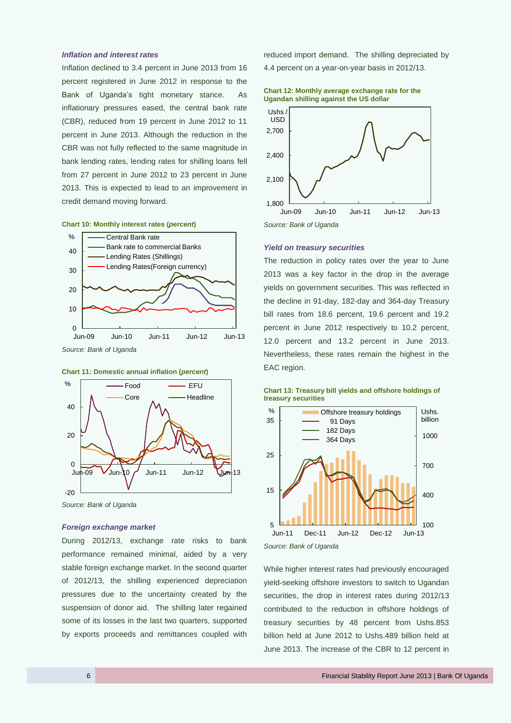#### *Inflation and interest rates*

Inflation declined to 3.4 percent in June 2013 from 16 percent registered in June 2012 in response to the Bank of Uganda's tight monetary stance. As inflationary pressures eased, the central bank rate (CBR), reduced from 19 percent in June 2012 to 11 percent in June 2013. Although the reduction in the CBR was not fully reflected to the same magnitude in bank lending rates, lending rates for shilling loans fell from 27 percent in June 2012 to 23 percent in June 2013. This is expected to lead to an improvement in credit demand moving forward.

#### **Chart 10: Monthly interest rates (***percent***)**







*Source: Bank of Uganda*

#### *Foreign exchange market*

During 2012/13, exchange rate risks to bank performance remained minimal, aided by a very stable foreign exchange market. In the second quarter of 2012/13, the shilling experienced depreciation pressures due to the uncertainty created by the suspension of donor aid. The shilling later regained some of its losses in the last two quarters, supported by exports proceeds and remittances coupled with

reduced import demand. The shilling depreciated by

4.4 percent on a year-on-year basis in 2012/13.





#### *Yield on treasury securities*

The reduction in policy rates over the year to June 2013 was a key factor in the drop in the average yields on government securities. This was reflected in the decline in 91-day, 182-day and 364-day Treasury bill rates from 18.6 percent, 19.6 percent and 19.2 percent in June 2012 respectively to 10.2 percent, 12.0 percent and 13.2 percent in June 2013. Nevertheless, these rates remain the highest in the EAC region.





*Source: Bank of Uganda*

While higher interest rates had previously encouraged yield-seeking offshore investors to switch to Ugandan securities, the drop in interest rates during 2012/13 contributed to the reduction in offshore holdings of treasury securities by 48 percent from Ushs.853 billion held at June 2012 to Ushs.489 billion held at June 2013. The increase of the CBR to 12 percent in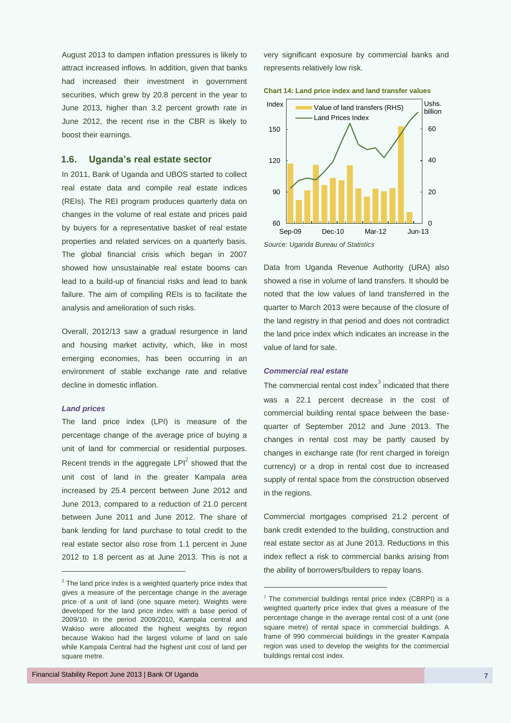August 2013 to dampen inflation pressures is likely to attract increased inflows. In addition, given that banks had increased their investment in government securities, which grew by 20.8 percent in the year to June 2013, higher than 3.2 percent growth rate in June 2012, the recent rise in the CBR is likely to boost their earnings.

### <span id="page-14-0"></span>**1.6. Uganda's real estate sector**

In 2011, Bank of Uganda and UBOS started to collect real estate data and compile real estate indices (REIs). The REI program produces quarterly data on changes in the volume of real estate and prices paid by buyers for a representative basket of real estate properties and related services on a quarterly basis. The global financial crisis which began in 2007 showed how unsustainable real estate booms can lead to a build-up of financial risks and lead to bank failure. The aim of compiling REIs is to facilitate the analysis and amelioration of such risks.

Overall, 2012/13 saw a gradual resurgence in land and housing market activity, which, like in most emerging economies, has been occurring in an environment of stable exchange rate and relative decline in domestic inflation.

## *Land prices*

 $\overline{a}$ 

The land price index (LPI) is measure of the percentage change of the average price of buying a unit of land for commercial or residential purposes. Recent trends in the aggregate  $LPI<sup>2</sup>$  showed that the unit cost of land in the greater Kampala area increased by 25.4 percent between June 2012 and June 2013, compared to a reduction of 21.0 percent between June 2011 and June 2012. The share of bank lending for land purchase to total credit to the real estate sector also rose from 1.1 percent in June 2012 to 1.8 percent as at June 2013. This is not a very significant exposure by commercial banks and represents relatively low risk.

**Chart 14: Land price index and land transfer values**



*Source: Uganda Bureau of Statistics*

Data from Uganda Revenue Authority (URA) also showed a rise in volume of land transfers. It should be noted that the low values of land transferred in the quarter to March 2013 were because of the closure of the land registry in that period and does not contradict the land price index which indicates an increase in the value of land for sale.

#### *Commercial real estate*

 $\overline{a}$ 

The commercial rental cost index $3$  indicated that there was a 22.1 percent decrease in the cost of commercial building rental space between the basequarter of September 2012 and June 2013. The changes in rental cost may be partly caused by changes in exchange rate (for rent charged in foreign currency) or a drop in rental cost due to increased supply of rental space from the construction observed in the regions.

Commercial mortgages comprised 21.2 percent of bank credit extended to the building, construction and real estate sector as at June 2013. Reductions in this index reflect a risk to commercial banks arising from the ability of borrowers/builders to repay loans.

 $2$  The land price index is a weighted quarterly price index that gives a measure of the percentage change in the average price of a unit of land (one square meter). Weights were developed for the land price index with a base period of 2009/10. In the period 2009/2010, Kampala central and Wakiso were allocated the highest weights by region because Wakiso had the largest volume of land on sale while Kampala Central had the highest unit cost of land per square metre.

 $3$  The commercial buildings rental price index (CBRPI) is a weighted quarterly price index that gives a measure of the percentage change in the average rental cost of a unit (one square metre) of rental space in commercial buildings. A frame of 990 commercial buildings in the greater Kampala region was used to develop the weights for the commercial buildings rental cost index.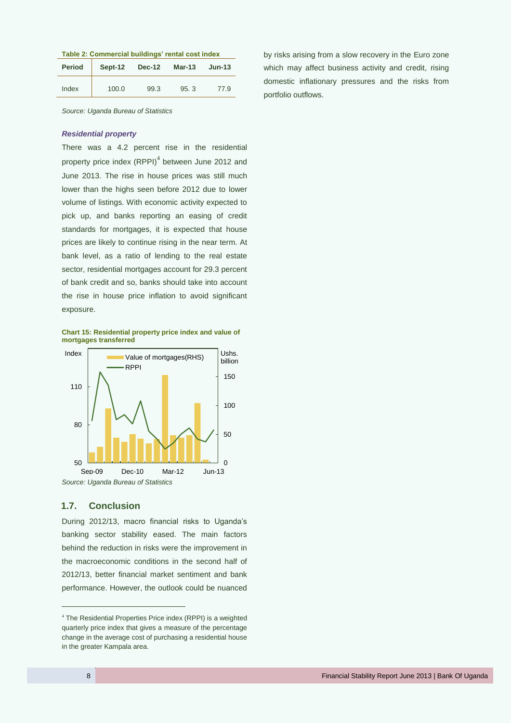| Table 2: Commercial buildings' rental cost index |  |
|--------------------------------------------------|--|
|--------------------------------------------------|--|

| <b>Period</b> | Sept-12 | <b>Dec-12</b> | Mar-13 | $Jun-13$ |
|---------------|---------|---------------|--------|----------|
| Index         | 100.0   | 99.3          | 95.3   | 77.9     |

*Source: Uganda Bureau of Statistics*

#### *Residential property*

There was a 4.2 percent rise in the residential property price index (RPPI) $<sup>4</sup>$  between June 2012 and</sup> June 2013. The rise in house prices was still much lower than the highs seen before 2012 due to lower volume of listings. With economic activity expected to pick up, and banks reporting an easing of credit standards for mortgages, it is expected that house prices are likely to continue rising in the near term. At bank level, as a ratio of lending to the real estate sector, residential mortgages account for 29.3 percent of bank credit and so, banks should take into account the rise in house price inflation to avoid significant exposure.

**Chart 15: Residential property price index and value of mortgages transferred**



## <span id="page-15-0"></span>**1.7. Conclusion**

During 2012/13, macro financial risks to Uganda's banking sector stability eased. The main factors behind the reduction in risks were the improvement in the macroeconomic conditions in the second half of 2012/13, better financial market sentiment and bank performance. However, the outlook could be nuanced

by risks arising from a slow recovery in the Euro zone which may affect business activity and credit, rising domestic inflationary pressures and the risks from portfolio outflows.

-

<sup>4</sup> The Residential Properties Price index (RPPI) is a weighted quarterly price index that gives a measure of the percentage change in the average cost of purchasing a residential house in the greater Kampala area.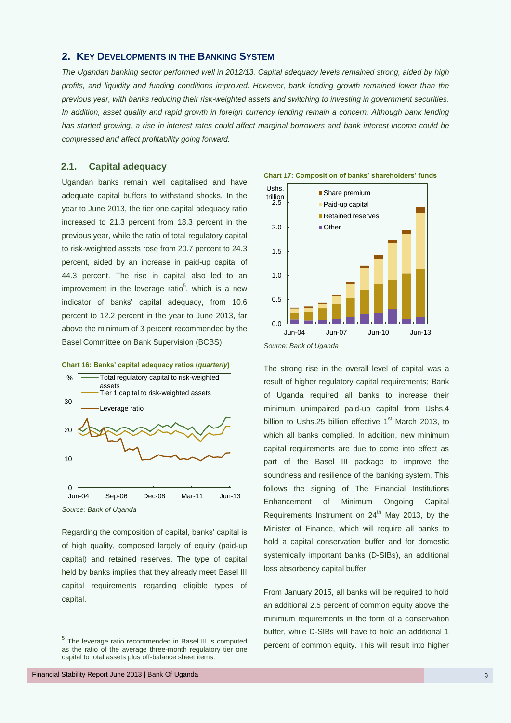## <span id="page-16-0"></span>**2. KEY DEVELOPMENTS IN THE BANKING SYSTEM**

*The Ugandan banking sector performed well in 2012/13. Capital adequacy levels remained strong, aided by high profits, and liquidity and funding conditions improved. However, bank lending growth remained lower than the previous year, with banks reducing their risk-weighted assets and switching to investing in government securities. In addition, asset quality and rapid growth in foreign currency lending remain a concern. Although bank lending has started growing, a rise in interest rates could affect marginal borrowers and bank interest income could be compressed and affect profitability going forward.*

## <span id="page-16-1"></span>**2.1. Capital adequacy**

Ugandan banks remain well capitalised and have adequate capital buffers to withstand shocks. In the year to June 2013, the tier one capital adequacy ratio increased to 21.3 percent from 18.3 percent in the previous year, while the ratio of total regulatory capital to risk-weighted assets rose from 20.7 percent to 24.3 percent, aided by an increase in paid-up capital of 44.3 percent. The rise in capital also led to an improvement in the leverage ratio<sup>5</sup>, which is a new indicator of banks' capital adequacy, from 10.6 percent to 12.2 percent in the year to June 2013, far above the minimum of 3 percent recommended by the Basel Committee on Bank Supervision (BCBS).





-

Regarding the composition of capital, banks' capital is of high quality, composed largely of equity (paid-up capital) and retained reserves. The type of capital held by banks implies that they already meet Basel III capital requirements regarding eligible types of capital.

<sup>&</sup>lt;sup>5</sup> The leverage ratio recommended in Basel III is computed as the ratio of the average three-month regulatory tier one capital to total assets plus off-balance sheet items.





**Chart 17: Composition of banks' shareholders' funds**

The strong rise in the overall level of capital was a result of higher regulatory capital requirements; Bank of Uganda required all banks to increase their minimum unimpaired paid-up capital from Ushs.4 billion to Ushs.25 billion effective 1<sup>st</sup> March 2013, to which all banks complied. In addition, new minimum capital requirements are due to come into effect as part of the Basel III package to improve the soundness and resilience of the banking system. This follows the signing of The Financial Institutions Enhancement of Minimum Ongoing Capital Requirements Instrument on  $24<sup>th</sup>$  May 2013, by the Minister of Finance, which will require all banks to hold a capital conservation buffer and for domestic systemically important banks (D-SIBs), an additional loss absorbency capital buffer.

From January 2015, all banks will be required to hold an additional 2.5 percent of common equity above the minimum requirements in the form of a conservation buffer, while D-SIBs will have to hold an additional 1 percent of common equity. This will result into higher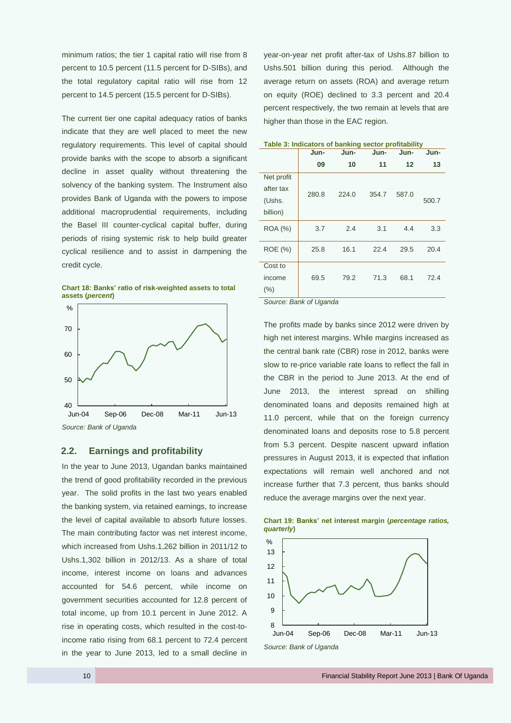minimum ratios; the tier 1 capital ratio will rise from 8 percent to 10.5 percent (11.5 percent for D-SIBs), and the total regulatory capital ratio will rise from 12 percent to 14.5 percent (15.5 percent for D-SIBs).

The current tier one capital adequacy ratios of banks indicate that they are well placed to meet the new regulatory requirements. This level of capital should provide banks with the scope to absorb a significant decline in asset quality without threatening the solvency of the banking system. The Instrument also provides Bank of Uganda with the powers to impose additional macroprudential requirements, including the Basel III counter-cyclical capital buffer, during periods of rising systemic risk to help build greater cyclical resilience and to assist in dampening the credit cycle.

**Chart 18: Banks' ratio of risk-weighted assets to total assets (***percent***)**



#### *Source: Bank of Uganda*

## <span id="page-17-0"></span>**2.2. Earnings and profitability**

In the year to June 2013, Ugandan banks maintained the trend of good profitability recorded in the previous year. The solid profits in the last two years enabled the banking system, via retained earnings, to increase the level of capital available to absorb future losses. The main contributing factor was net interest income, which increased from Ushs.1,262 billion in 2011/12 to Ushs.1,302 billion in 2012/13. As a share of total income, interest income on loans and advances accounted for 54.6 percent, while income on government securities accounted for 12.8 percent of total income, up from 10.1 percent in June 2012. A rise in operating costs, which resulted in the cost-toincome ratio rising from 68.1 percent to 72.4 percent in the year to June 2013, led to a small decline in year-on-year net profit after-tax of Ushs.87 billion to Ushs.501 billion during this period. Although the average return on assets (ROA) and average return on equity (ROE) declined to 3.3 percent and 20.4 percent respectively, the two remain at levels that are higher than those in the EAC region.

|                | Jun-  | <b>Table 3: Indicators of Danking Sector profitability</b><br>Jun-<br>Jun-<br>Jun- |       |       |       |  |
|----------------|-------|------------------------------------------------------------------------------------|-------|-------|-------|--|
|                | 09    | 10                                                                                 | 11    | 12    | 13    |  |
| Net profit     |       |                                                                                    |       |       |       |  |
| after tax      | 280.8 | 224.0                                                                              | 354.7 | 587.0 |       |  |
| (Ushs.         |       |                                                                                    |       |       | 500.7 |  |
| billion)       |       |                                                                                    |       |       |       |  |
| <b>ROA</b> (%) | 3.7   | 2.4                                                                                | 3.1   | 4.4   | 3.3   |  |
| <b>ROE</b> (%) | 25.8  | 16.1                                                                               | 22.4  | 29.5  | 20.4  |  |
| Cost to        |       |                                                                                    |       |       |       |  |
| income         | 69.5  | 79.2                                                                               | 71.3  | 68.1  | 72.4  |  |
| $(\% )$        |       |                                                                                    |       |       |       |  |

#### **Table 3: Indicators of banking sector profitability**

*Source: Bank of Uganda*

The profits made by banks since 2012 were driven by high net interest margins. While margins increased as the central bank rate (CBR) rose in 2012, banks were slow to re-price variable rate loans to reflect the fall in the CBR in the period to June 2013. At the end of June 2013, the interest spread on shilling denominated loans and deposits remained high at 11.0 percent, while that on the foreign currency denominated loans and deposits rose to 5.8 percent from 5.3 percent. Despite nascent upward inflation pressures in August 2013, it is expected that inflation expectations will remain well anchored and not increase further that 7.3 percent, thus banks should reduce the average margins over the next year.



**Chart 19: Banks' net interest margin (***percentage ratios, quarterly***)**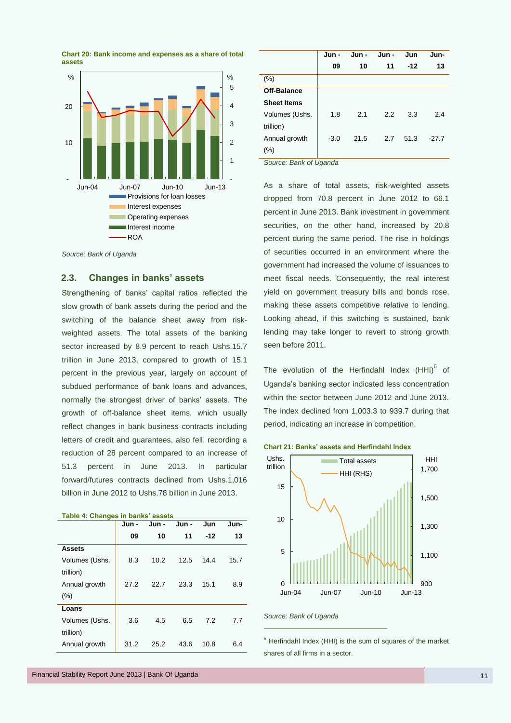



|                        | Jun -  | Jun - | Jun - | Jun   | Jun-    |
|------------------------|--------|-------|-------|-------|---------|
|                        | 09     | 10    | 11    | $-12$ | 13      |
| (%)                    |        |       |       |       |         |
| Off-Balance            |        |       |       |       |         |
| <b>Sheet Items</b>     |        |       |       |       |         |
| Volumes (Ushs.         | 1.8    | 2.1   | 2.2   | 3.3   | 2.4     |
| trillion)              |        |       |       |       |         |
| Annual growth          | $-3.0$ | 21.5  | 2.7   | 51.3  | $-27.7$ |
| (%)                    |        |       |       |       |         |
| Source: Bank of Uganda |        |       |       |       |         |

As a share of total assets, risk-weighted assets dropped from 70.8 percent in June 2012 to 66.1 percent in June 2013. Bank investment in government securities, on the other hand, increased by 20.8 percent during the same period. The rise in holdings of securities occurred in an environment where the government had increased the volume of issuances to meet fiscal needs. Consequently, the real interest yield on government treasury bills and bonds rose, making these assets competitive relative to lending. Looking ahead, if this switching is sustained, bank lending may take longer to revert to strong growth seen before 2011.

The evolution of the Herfindahl Index  $(HHI)^6$  of Uganda's banking sector indicated less concentration within the sector between June 2012 and June 2013. The index declined from 1,003.3 to 939.7 during that period, indicating an increase in competition.





*Source: Bank of Uganda*

.

 $6$  Herfindahl Index (HHI) is the sum of squares of the market shares of all firms in a sector.

*Source: Bank of Uganda*

## <span id="page-18-0"></span>**2.3. Changes in banks' assets**

Strengthening of banks' capital ratios reflected the slow growth of bank assets during the period and the switching of the balance sheet away from riskweighted assets. The total assets of the banking sector increased by 8.9 percent to reach Ushs.15.7 trillion in June 2013, compared to growth of 15.1 percent in the previous year, largely on account of subdued performance of bank loans and advances, normally the strongest driver of banks' assets. The growth of off-balance sheet items, which usually reflect changes in bank business contracts including letters of credit and guarantees, also fell, recording a reduction of 28 percent compared to an increase of 51.3 percent in June 2013. In particular forward/futures contracts declined from Ushs.1,016 billion in June 2012 to Ushs.78 billion in June 2013.

| rabic +. Onangos in banks assets | Jun - | Jun - | Jun - | Jun   | Jun- |
|----------------------------------|-------|-------|-------|-------|------|
|                                  | 09    | 10    | 11    | $-12$ | 13   |
| <b>Assets</b>                    |       |       |       |       |      |
| Volumes (Ushs.<br>trillion)      | 8.3   | 10.2  | 12.5  | 14.4  | 15.7 |
| Annual growth                    | 27.2  | 22.7  | 23.3  | 15.1  | 8.9  |
| (%)                              |       |       |       |       |      |
| Loans                            |       |       |       |       |      |
| Volumes (Ushs.<br>trillion)      | 3.6   | 4.5   | 6.5   | 7.2   | 7.7  |
| Annual growth                    | 31.2  | 25.2  | 43.6  | 10.8  | 6.4  |

#### **Table 4: Changes in banks' assets**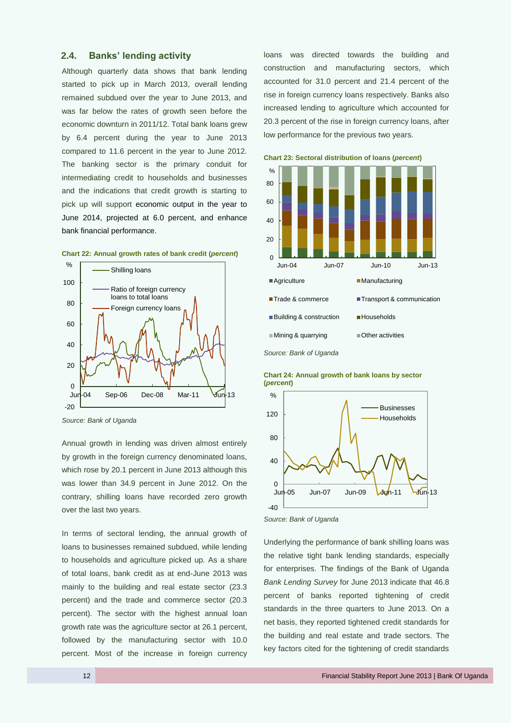## <span id="page-19-0"></span>**2.4. Banks' lending activity**

Although quarterly data shows that bank lending started to pick up in March 2013, overall lending remained subdued over the year to June 2013, and was far below the rates of growth seen before the economic downturn in 2011/12. Total bank loans grew by 6.4 percent during the year to June 2013 compared to 11.6 percent in the year to June 2012. The banking sector is the primary conduit for intermediating credit to households and businesses and the indications that credit growth is starting to pick up will support economic output in the year to June 2014, projected at 6.0 percent, and enhance bank financial performance.



**Chart 22: Annual growth rates of bank credit (***percent***)**

Annual growth in lending was driven almost entirely by growth in the foreign currency denominated loans, which rose by 20.1 percent in June 2013 although this was lower than 34.9 percent in June 2012. On the contrary, shilling loans have recorded zero growth over the last two years.

In terms of sectoral lending, the annual growth of loans to businesses remained subdued, while lending to households and agriculture picked up. As a share of total loans, bank credit as at end-June 2013 was mainly to the building and real estate sector (23.3 percent) and the trade and commerce sector (20.3 percent). The sector with the highest annual loan growth rate was the agriculture sector at 26.1 percent, followed by the manufacturing sector with 10.0 percent. Most of the increase in foreign currency loans was directed towards the building and construction and manufacturing sectors, which accounted for 31.0 percent and 21.4 percent of the rise in foreign currency loans respectively. Banks also increased lending to agriculture which accounted for 20.3 percent of the rise in foreign currency loans, after low performance for the previous two years.





Underlying the performance of bank shilling loans was the relative tight bank lending standards, especially for enterprises. The findings of the Bank of Uganda *Bank Lending Survey* for June 2013 indicate that 46.8 percent of banks reported tightening of credit standards in the three quarters to June 2013. On a net basis, they reported tightened credit standards for the building and real estate and trade sectors. The key factors cited for the tightening of credit standards

*Source: Bank of Uganda*

 $-40$  $0$ <br>Jun-05 40 80 120 Jun-05 Jun-07 Jun-09 Jun-11 Jun-13 % Businesses Households

**Chart 24: Annual growth of bank loans by sector (***percent***)**

*Source: Bank of Uganda*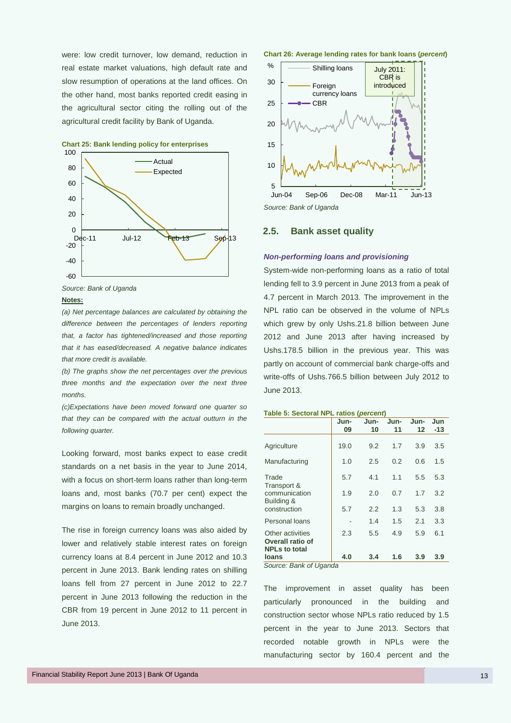were: low credit turnover, low demand, reduction in real estate market valuations, high default rate and slow resumption of operations at the land offices. On the other hand, most banks reported credit easing in the agricultural sector citing the rolling out of the agricultural credit facility by Bank of Uganda.



**Chart 25: Bank lending policy for enterprises**

*Source: Bank of Uganda*

#### **Notes:**

*(a) Net percentage balances are calculated by obtaining the difference between the percentages of lenders reporting that, a factor has tightened/increased and those reporting that it has eased/decreased. A negative balance indicates that more credit is available.* 

*(b) The graphs show the net percentages over the previous three months and the expectation over the next three months.* 

*(c)Expectations have been moved forward one quarter so that they can be compared with the actual outturn in the following quarter.*

Looking forward, most banks expect to ease credit standards on a net basis in the year to June 2014, with a focus on short-term loans rather than long-term loans and, most banks (70.7 per cent) expect the margins on loans to remain broadly unchanged.

The rise in foreign currency loans was also aided by lower and relatively stable interest rates on foreign currency loans at 8.4 percent in June 2012 and 10.3 percent in June 2013. Bank lending rates on shilling loans fell from 27 percent in June 2012 to 22.7 percent in June 2013 following the reduction in the CBR from 19 percent in June 2012 to 11 percent in June 2013.





*Source: Bank of Uganda*

#### <span id="page-20-0"></span>**2.5. Bank asset quality**

#### *Non-performing loans and provisioning*

System-wide non-performing loans as a ratio of total lending fell to 3.9 percent in June 2013 from a peak of 4.7 percent in March 2013. The improvement in the NPL ratio can be observed in the volume of NPLs which grew by only Ushs.21.8 billion between June 2012 and June 2013 after having increased by Ushs.178.5 billion in the previous year. This was partly on account of commercial bank charge-offs and write-offs of Ushs.766.5 billion between July 2012 to June 2013.

#### **Table 5: Sectoral NPL ratios (***percent***)**

|                                                              | Jun-<br>09 | Jun-<br>10 | Jun-<br>11 | Jun-<br>12 | Jun<br>-13 |
|--------------------------------------------------------------|------------|------------|------------|------------|------------|
| Agriculture                                                  | 19.0       | 9.2        | 1.7        | 3.9        | 3.5        |
| Manufacturing                                                | 1.0        | 2.5        | 0.2        | 0.6        | 1.5        |
| Trade                                                        | 5.7        | 4.1        | 1.1        | 5.5        | 5.3        |
| Transport &<br>communication<br>Building &                   | 1.9        | 2.0        | 0.7        | 1.7        | 3.2        |
| construction                                                 | 5.7        | 2.2        | 1.3        | 5.3        | 3.8        |
| Personal loans                                               |            | 1.4        | 1.5        | 2.1        | 3.3        |
| Other activities<br>Overall ratio of<br><b>NPLs to total</b> | 2.3        | 5.5        | 4.9        | 5.9        | 6.1        |
| loans                                                        | 4.0        | 3.4        | 1.6        | 3.9        | 3.9        |
| Cource Bonk of Uganda                                        |            |            |            |            |            |

*Source: Bank of Uganda*

The improvement in asset quality has been particularly pronounced in the building and construction sector whose NPLs ratio reduced by 1.5 percent in the year to June 2013. Sectors that recorded notable growth in NPLs were the manufacturing sector by 160.4 percent and the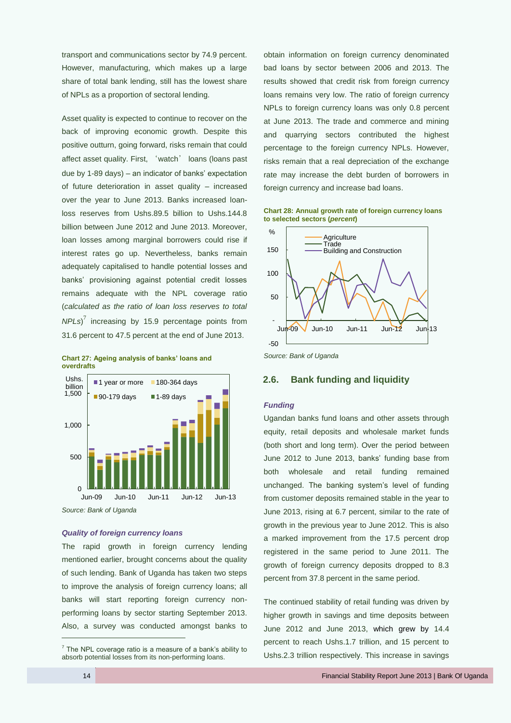transport and communications sector by 74.9 percent. However, manufacturing, which makes up a large share of total bank lending, still has the lowest share of NPLs as a proportion of sectoral lending.

Asset quality is expected to continue to recover on the back of improving economic growth. Despite this positive outturn, going forward, risks remain that could affect asset quality. First, 'watch' loans (loans past due by 1-89 days) – an indicator of banks' expectation of future deterioration in asset quality – increased over the year to June 2013. Banks increased loanloss reserves from Ushs.89.5 billion to Ushs.144.8 billion between June 2012 and June 2013. Moreover, loan losses among marginal borrowers could rise if interest rates go up. Nevertheless, banks remain adequately capitalised to handle potential losses and banks' provisioning against potential credit losses remains adequate with the NPL coverage ratio (*calculated as the ratio of loan loss reserves to total NPLs*) 7 increasing by 15.9 percentage points from 31.6 percent to 47.5 percent at the end of June 2013.





#### *Quality of foreign currency loans*

The rapid growth in foreign currency lending mentioned earlier, brought concerns about the quality of such lending. Bank of Uganda has taken two steps to improve the analysis of foreign currency loans; all banks will start reporting foreign currency nonperforming loans by sector starting September 2013. Also, a survey was conducted amongst banks to obtain information on foreign currency denominated bad loans by sector between 2006 and 2013. The results showed that credit risk from foreign currency loans remains very low. The ratio of foreign currency NPLs to foreign currency loans was only 0.8 percent at June 2013. The trade and commerce and mining and quarrying sectors contributed the highest percentage to the foreign currency NPLs. However, risks remain that a real depreciation of the exchange rate may increase the debt burden of borrowers in foreign currency and increase bad loans.

**Chart 28: Annual growth rate of foreign currency loans to selected sectors (***percent***)**



## <span id="page-21-0"></span>**2.6. Bank funding and liquidity**

#### *Funding*

Ugandan banks fund loans and other assets through equity, retail deposits and wholesale market funds (both short and long term). Over the period between June 2012 to June 2013, banks' funding base from both wholesale and retail funding remained unchanged. The banking system's level of funding from customer deposits remained stable in the year to June 2013, rising at 6.7 percent, similar to the rate of growth in the previous year to June 2012. This is also a marked improvement from the 17.5 percent drop registered in the same period to June 2011. The growth of foreign currency deposits dropped to 8.3 percent from 37.8 percent in the same period.

The continued stability of retail funding was driven by higher growth in savings and time deposits between June 2012 and June 2013, which grew by 14.4 percent to reach Ushs.1.7 trillion, and 15 percent to Ushs.2.3 trillion respectively. This increase in savings

 $\overline{a}$ 

 $7$  The NPL coverage ratio is a measure of a bank's ability to absorb potential losses from its non-performing loans.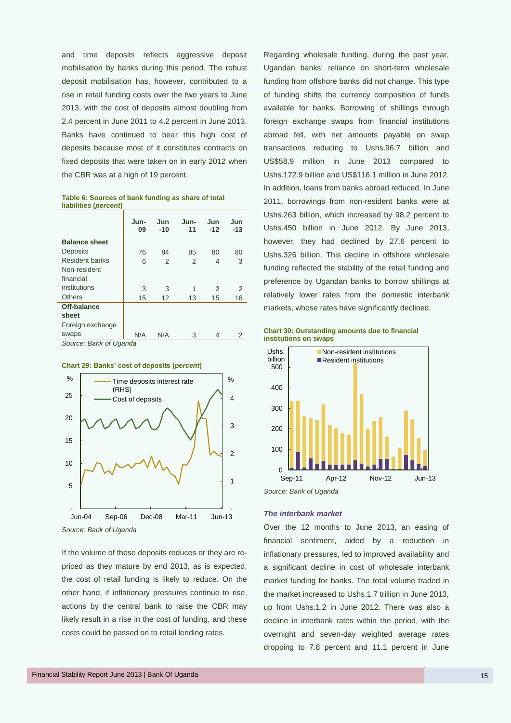and time deposits reflects aggressive deposit mobilisation by banks during this period. The robust deposit mobilisation has, however, contributed to a rise in retail funding costs over the two years to June 2013, with the cost of deposits almost doubling from 2.4 percent in June 2011 to 4.2 percent in June 2013. Banks have continued to bear this high cost of deposits because most of it constitutes contracts on fixed deposits that were taken on in early 2012 when the CBR was at a high of 19 percent.

|                        | Jun-<br>09 | Jun<br>$-10$   | Jun-<br>11 | Jun<br>$-12$ | Jun<br>$-13$ |  |
|------------------------|------------|----------------|------------|--------------|--------------|--|
| <b>Balance sheet</b>   |            |                |            |              |              |  |
| Deposits               | 76         | 84             | 85         | 80           | 80           |  |
| Resident banks         | 6          | $\overline{2}$ | 2          | 4            | 3            |  |
| Non-resident           |            |                |            |              |              |  |
| financial              |            |                |            |              |              |  |
| institutions           | 3          | 3              | 1          | 2            | 2            |  |
| Others                 | 15         | 12             | 13         | 15           | 16           |  |
| Off-balance            |            |                |            |              |              |  |
| sheet                  |            |                |            |              |              |  |
| Foreign exchange       |            |                |            |              |              |  |
| swaps                  | N/A        | N/A            | 3          | 4            | 2            |  |
| Source: Bank of Uganda |            |                |            |              |              |  |

**Table 6: Sources of bank funding as share of total liabilities (***percent***)**





If the volume of these deposits reduces or they are repriced as they mature by end 2013, as is expected, the cost of retail funding is likely to reduce. On the other hand, if inflationary pressures continue to rise, actions by the central bank to raise the CBR may likely result in a rise in the cost of funding, and these costs could be passed on to retail lending rates.

Regarding wholesale funding, during the past year, Ugandan banks' reliance on short-term wholesale funding from offshore banks did not change. This type of funding shifts the currency composition of funds available for banks. Borrowing of shillings through foreign exchange swaps from financial institutions abroad fell, with net amounts payable on swap transactions reducing to Ushs.96.7 billion and US\$58.9 million in June 2013 compared to Ushs.172.9 billion and US\$116.1 million in June 2012. In addition, loans from banks abroad reduced. In June 2011, borrowings from non-resident banks were at Ushs.263 billion, which increased by 98.2 percent to Ushs.450 billion in June 2012. By June 2013, however, they had declined by 27.6 percent to Ushs.326 billion. This decline in offshore wholesale funding reflected the stability of the retail funding and preference by Ugandan banks to borrow shillings at relatively lower rates from the domestic interbank markets, whose rates have significantly declined.

**Chart 30: Outstanding amounts due to financial institutions on swaps**





#### *The interbank market*

Over the 12 months to June 2013, an easing of financial sentiment, aided by a reduction in inflationary pressures, led to improved availability and a significant decline in cost of wholesale interbank market funding for banks. The total volume traded in the market increased to Ushs.1.7 trillion in June 2013, up from Ushs.1.2 in June 2012. There was also a decline in interbank rates within the period, with the overnight and seven-day weighted average rates dropping to 7.8 percent and 11.1 percent in June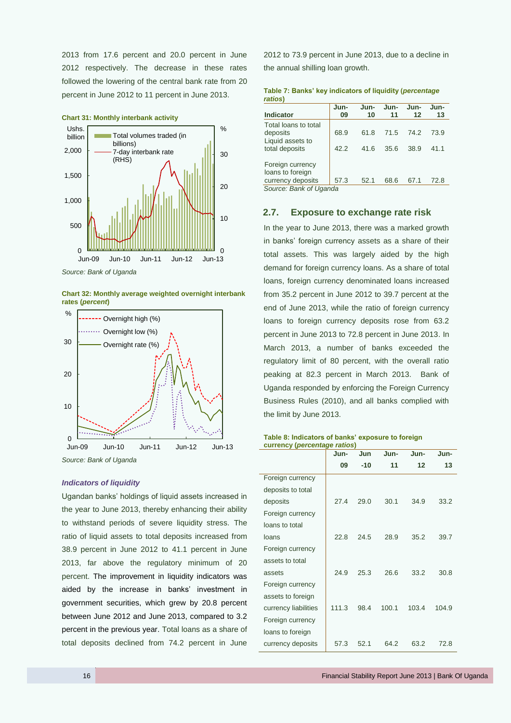2013 from 17.6 percent and 20.0 percent in June 2012 respectively. The decrease in these rates followed the lowering of the central bank rate from 20 percent in June 2012 to 11 percent in June 2013.



#### **Chart 31: Monthly interbank activity**

*Source: Bank of Uganda*

**Chart 32: Monthly average weighted overnight interbank rates (***percent***)**



*Source: Bank of Uganda*

### *Indicators of liquidity*

Ugandan banks' holdings of liquid assets increased in the year to June 2013, thereby enhancing their ability to withstand periods of severe liquidity stress. The ratio of liquid assets to total deposits increased from 38.9 percent in June 2012 to 41.1 percent in June 2013, far above the regulatory minimum of 20 percent. The improvement in liquidity indicators was aided by the increase in banks' investment in government securities, which grew by 20.8 percent between June 2012 and June 2013, compared to 3.2 percent in the previous year. Total loans as a share of total deposits declined from 74.2 percent in June

2012 to 73.9 percent in June 2013, due to a decline in the annual shilling loan growth.

**Table 7: Banks' key indicators of liquidity (***percentage ratios***)**

| Jun-<br>09 | Jun-<br>10                     | Jun-<br>11 | Jun-<br>$12 \,$ | Jun-<br>13 |
|------------|--------------------------------|------------|-----------------|------------|
| 68.9       | 61.8                           | 71.5       | 74.2            | 73.9       |
| 42.2       | 41.6                           | 35.6       | 38.9            | 41.1       |
|            |                                | 68.6       | 67.1            | 72.8       |
|            |                                |            |                 |            |
|            | 57.3<br>Source: Bank of Uganda | 52.1       |                 |            |

## <span id="page-23-0"></span>**2.7. Exposure to exchange rate risk**

In the year to June 2013, there was a marked growth in banks' foreign currency assets as a share of their total assets. This was largely aided by the high demand for foreign currency loans. As a share of total loans, foreign currency denominated loans increased from 35.2 percent in June 2012 to 39.7 percent at the end of June 2013, while the ratio of foreign currency loans to foreign currency deposits rose from 63.2 percent in June 2013 to 72.8 percent in June 2013. In March 2013, a number of banks exceeded the regulatory limit of 80 percent, with the overall ratio peaking at 82.3 percent in March 2013. Bank of Uganda responded by enforcing the Foreign Currency Business Rules (2010), and all banks complied with the limit by June 2013.

#### **Table 8: Indicators of banks' exposure to foreign currency (***percentage ratios***)**

|                      | Jun-  | Jun   | Jun-  | Jun-  | Jun-  |
|----------------------|-------|-------|-------|-------|-------|
|                      | 09    | $-10$ | 11    | 12    | 13    |
| Foreign currency     |       |       |       |       |       |
| deposits to total    |       |       |       |       |       |
| deposits             | 27.4  | 29.0  | 30.1  | 34.9  | 33.2  |
| Foreign currency     |       |       |       |       |       |
| loans to total       |       |       |       |       |       |
| loans                | 22.8  | 24.5  | 28.9  | 35.2  | 39.7  |
| Foreign currency     |       |       |       |       |       |
| assets to total      |       |       |       |       |       |
| assets               | 24.9  | 25.3  | 26.6  | 33.2  | 30.8  |
| Foreign currency     |       |       |       |       |       |
| assets to foreign    |       |       |       |       |       |
| currency liabilities | 111.3 | 98.4  | 100.1 | 103.4 | 104.9 |
| Foreign currency     |       |       |       |       |       |
| loans to foreign     |       |       |       |       |       |
| currency deposits    | 57.3  | 52.1  | 64.2  | 63.2  | 72.8  |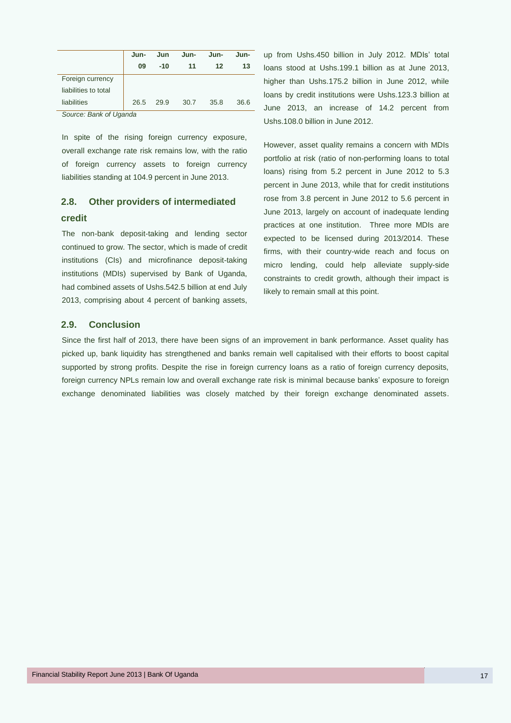|                        | Jun- | Jun   | Jun- | Jun- | Jun- |  |  |
|------------------------|------|-------|------|------|------|--|--|
|                        | 09   | $-10$ | 11   | 12   | 13   |  |  |
| Foreign currency       |      |       |      |      |      |  |  |
| liabilities to total   |      |       |      |      |      |  |  |
| liabilities            | 26.5 | 29.9  | 30.7 | 35.8 | 36.6 |  |  |
| Source: Bank of Hoanda |      |       |      |      |      |  |  |

In spite of the rising foreign currency exposure, overall exchange rate risk remains low, with the ratio of foreign currency assets to foreign currency liabilities standing at 104.9 percent in June 2013.

## <span id="page-24-0"></span>**2.8. Other providers of intermediated credit**

The non-bank deposit-taking and lending sector continued to grow. The sector, which is made of credit institutions (CIs) and microfinance deposit-taking institutions (MDIs) supervised by Bank of Uganda, had combined assets of Ushs.542.5 billion at end July 2013, comprising about 4 percent of banking assets,

up from Ushs.450 billion in July 2012. MDIs' total loans stood at Ushs.199.1 billion as at June 2013, higher than Ushs.175.2 billion in June 2012, while loans by credit institutions were Ushs.123.3 billion at June 2013, an increase of 14.2 percent from Ushs.108.0 billion in June 2012.

However, asset quality remains a concern with MDIs portfolio at risk (ratio of non-performing loans to total loans) rising from 5.2 percent in June 2012 to 5.3 percent in June 2013, while that for credit institutions rose from 3.8 percent in June 2012 to 5.6 percent in June 2013, largely on account of inadequate lending practices at one institution. Three more MDIs are expected to be licensed during 2013/2014. These firms, with their country-wide reach and focus on micro lending, could help alleviate supply-side constraints to credit growth, although their impact is likely to remain small at this point.

## <span id="page-24-1"></span>**2.9. Conclusion**

Since the first half of 2013, there have been signs of an improvement in bank performance. Asset quality has picked up, bank liquidity has strengthened and banks remain well capitalised with their efforts to boost capital supported by strong profits. Despite the rise in foreign currency loans as a ratio of foreign currency deposits, foreign currency NPLs remain low and overall exchange rate risk is minimal because banks' exposure to foreign exchange denominated liabilities was closely matched by their foreign exchange denominated assets.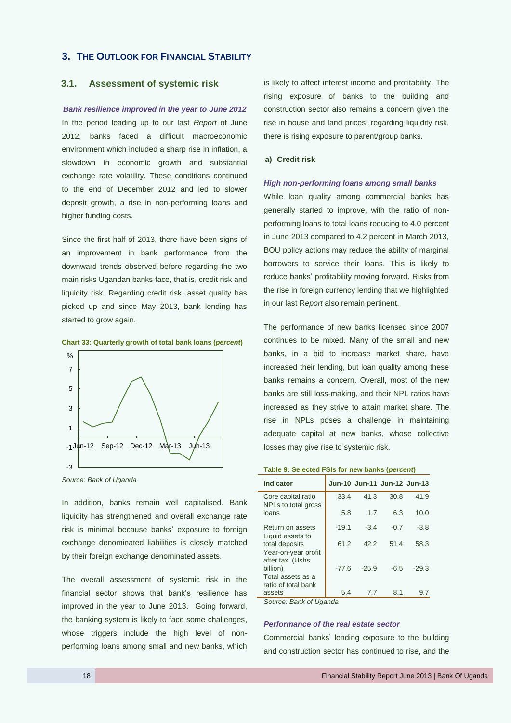## <span id="page-25-0"></span>**3. THE OUTLOOK FOR FINANCIAL STABILITY**

## <span id="page-25-1"></span>**3.1. Assessment of systemic risk**

#### *Bank resilience improved in the year to June 2012*

In the period leading up to our last *Report* of June 2012, banks faced a difficult macroeconomic environment which included a sharp rise in inflation, a slowdown in economic growth and substantial exchange rate volatility. These conditions continued to the end of December 2012 and led to slower deposit growth, a rise in non-performing loans and higher funding costs.

Since the first half of 2013, there have been signs of an improvement in bank performance from the downward trends observed before regarding the two main risks Ugandan banks face, that is, credit risk and liquidity risk. Regarding credit risk, asset quality has picked up and since May 2013, bank lending has started to grow again.

**Chart 33: Quarterly growth of total bank loans (***percent***)**



*Source: Bank of Uganda*

In addition, banks remain well capitalised. Bank liquidity has strengthened and overall exchange rate risk is minimal because banks' exposure to foreign exchange denominated liabilities is closely matched by their foreign exchange denominated assets.

The overall assessment of systemic risk in the financial sector shows that bank's resilience has improved in the year to June 2013. Going forward, the banking system is likely to face some challenges, whose triggers include the high level of nonperforming loans among small and new banks, which is likely to affect interest income and profitability. The rising exposure of banks to the building and construction sector also remains a concern given the rise in house and land prices; regarding liquidity risk, there is rising exposure to parent/group banks.

#### **a) Credit risk**

#### *High non-performing loans among small banks*

While loan quality among commercial banks has generally started to improve, with the ratio of nonperforming loans to total loans reducing to 4.0 percent in June 2013 compared to 4.2 percent in March 2013, BOU policy actions may reduce the ability of marginal borrowers to service their loans. This is likely to reduce banks' profitability moving forward. Risks from the rise in foreign currency lending that we highlighted in our last R*eport* also remain pertinent.

The performance of new banks licensed since 2007 continues to be mixed. Many of the small and new banks, in a bid to increase market share, have increased their lending, but loan quality among these banks remains a concern. Overall, most of the new banks are still loss-making, and their NPL ratios have increased as they strive to attain market share. The rise in NPLs poses a challenge in maintaining adequate capital at new banks, whose collective losses may give rise to systemic risk.

**Table 9: Selected FSIs for new banks (***percent***)**

| <b>Indicator</b>                                          |         |         | Jun-10 Jun-11 Jun-12 Jun-13 |         |
|-----------------------------------------------------------|---------|---------|-----------------------------|---------|
| Core capital ratio<br>NPLs to total gross                 | 33.4    | 41.3    | 30.8                        | 41.9    |
| loans                                                     | 5.8     | 1.7     | 6.3                         | 10.0    |
| Return on assets<br>Liquid assets to                      | $-19.1$ | $-3.4$  | $-0.7$                      | $-3.8$  |
| total deposits<br>Year-on-year profit<br>after tax (Ushs. | 61.2    | 42.2    | 51.4                        | 58.3    |
| billion)<br>Total assets as a<br>ratio of total bank      | $-77.6$ | $-25.9$ | $-6.5$                      | $-29.3$ |
| assets                                                    | 5.4     | 7.7     | 8.1                         | 9.7     |
| Source: Rank of Unanda                                    |         |         |                             |         |

*Source: Bank of Uganda*

#### *Performance of the real estate sector*

Commercial banks' lending exposure to the building and construction sector has continued to rise, and the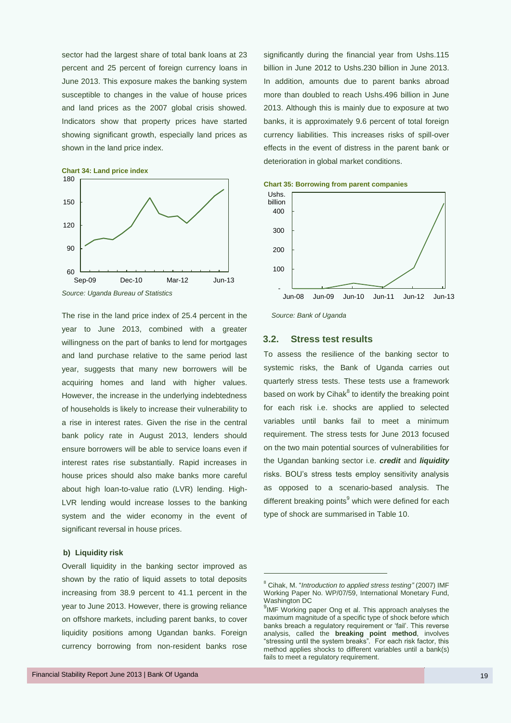sector had the largest share of total bank loans at 23 percent and 25 percent of foreign currency loans in June 2013. This exposure makes the banking system susceptible to changes in the value of house prices and land prices as the 2007 global crisis showed. Indicators show that property prices have started showing significant growth, especially land prices as shown in the land price index.



The rise in the land price index of 25.4 percent in the year to June 2013, combined with a greater willingness on the part of banks to lend for mortgages and land purchase relative to the same period last year, suggests that many new borrowers will be acquiring homes and land with higher values. However, the increase in the underlying indebtedness of households is likely to increase their vulnerability to a rise in interest rates. Given the rise in the central bank policy rate in August 2013, lenders should ensure borrowers will be able to service loans even if interest rates rise substantially. Rapid increases in house prices should also make banks more careful about high loan-to-value ratio (LVR) lending. High-LVR lending would increase losses to the banking system and the wider economy in the event of significant reversal in house prices.

#### **b) Liquidity risk**

Overall liquidity in the banking sector improved as shown by the ratio of liquid assets to total deposits increasing from 38.9 percent to 41.1 percent in the year to June 2013. However, there is growing reliance on offshore markets, including parent banks, to cover liquidity positions among Ugandan banks. Foreign currency borrowing from non-resident banks rose

significantly during the financial year from Ushs.115 billion in June 2012 to Ushs.230 billion in June 2013. In addition, amounts due to parent banks abroad more than doubled to reach Ushs.496 billion in June 2013. Although this is mainly due to exposure at two banks, it is approximately 9.6 percent of total foreign currency liabilities. This increases risks of spill-over effects in the event of distress in the parent bank or deterioration in global market conditions.

**Chart 35: Borrowing from parent companies**



*Source: Bank of Uganda*

#### <span id="page-26-0"></span>**3.2. Stress test results**

To assess the resilience of the banking sector to systemic risks, the Bank of Uganda carries out quarterly stress tests. These tests use a framework based on work by Cihak<sup>8</sup> to identify the breaking point for each risk i.e. shocks are applied to selected variables until banks fail to meet a minimum requirement. The stress tests for June 2013 focused on the two main potential sources of vulnerabilities for the Ugandan banking sector i.e. *credit* and *liquidity* risks. BOU's stress tests employ sensitivity analysis as opposed to a scenario-based analysis. The different breaking points<sup>9</sup> which were defined for each type of shock are summarised in Table 10.

.

<sup>8</sup> Cihak, M. "*Introduction to applied stress testing"* (2007) IMF Working Paper No. WP/07/59, International Monetary Fund, Washington DC

<sup>&</sup>lt;sup>9</sup>IMF Working paper Ong et al. This approach analyses the maximum magnitude of a specific type of shock before which banks breach a regulatory requirement or 'fail'. This reverse analysis, called the **breaking point method**, involves "stressing until the system breaks". For each risk factor, this method applies shocks to different variables until a bank(s) fails to meet a regulatory requirement.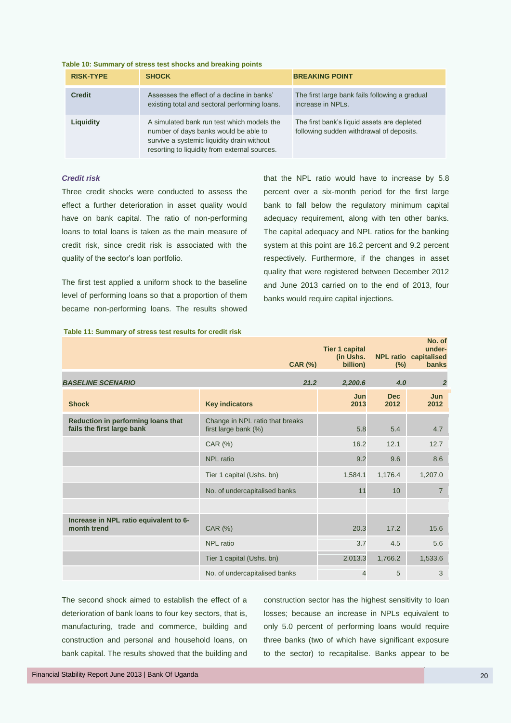| <b>RISK-TYPE</b> | <b>SHOCK</b>                                                                                                                                                                       | <b>BREAKING POINT</b>                                                                   |
|------------------|------------------------------------------------------------------------------------------------------------------------------------------------------------------------------------|-----------------------------------------------------------------------------------------|
| <b>Credit</b>    | Assesses the effect of a decline in banks'<br>existing total and sectoral performing loans.                                                                                        | The first large bank fails following a gradual<br>increase in NPLs.                     |
| Liquidity        | A simulated bank run test which models the<br>number of days banks would be able to<br>survive a systemic liquidity drain without<br>resorting to liquidity from external sources. | The first bank's liquid assets are depleted<br>following sudden withdrawal of deposits. |

#### **Table 10: Summary of stress test shocks and breaking points**

#### *Credit risk*

Three credit shocks were conducted to assess the effect a further deterioration in asset quality would have on bank capital. The ratio of non-performing loans to total loans is taken as the main measure of credit risk, since credit risk is associated with the quality of the sector's loan portfolio.

The first test applied a uniform shock to the baseline level of performing loans so that a proportion of them became non-performing loans. The results showed

**Table 11: Summary of stress test results for credit risk**

that the NPL ratio would have to increase by 5.8 percent over a six-month period for the first large bank to fall below the regulatory minimum capital adequacy requirement, along with ten other banks. The capital adequacy and NPL ratios for the banking system at this point are 16.2 percent and 9.2 percent respectively. Furthermore, if the changes in asset quality that were registered between December 2012 and June 2013 carried on to the end of 2013, four banks would require capital injections.

|                                                                  | <b>CAR (%)</b>                                          | <b>Tier 1 capital</b><br>(in Ushs.<br>billion) | $(\%)$             | No. of<br>under-<br><b>NPL ratio capitalised</b><br><b>banks</b> |
|------------------------------------------------------------------|---------------------------------------------------------|------------------------------------------------|--------------------|------------------------------------------------------------------|
| <b>BASELINE SCENARIO</b>                                         | 21.2                                                    | 2,200.6                                        | 4.0                | $\overline{2}$                                                   |
| <b>Shock</b>                                                     | <b>Key indicators</b>                                   | Jun<br>2013                                    | <b>Dec</b><br>2012 | Jun<br>2012                                                      |
| Reduction in performing loans that<br>fails the first large bank | Change in NPL ratio that breaks<br>first large bank (%) | 5.8                                            | 5.4                | 4.7                                                              |
|                                                                  | CAR (%)                                                 | 16.2                                           | 12.1               | 12.7                                                             |
|                                                                  | <b>NPL</b> ratio                                        | 9.2                                            | 9.6                | 8.6                                                              |
|                                                                  | Tier 1 capital (Ushs. bn)                               | 1,584.1                                        | 1,176.4            | 1,207.0                                                          |
|                                                                  | No. of undercapitalised banks                           | 11                                             | 10                 | $\overline{7}$                                                   |
|                                                                  |                                                         |                                                |                    |                                                                  |
| Increase in NPL ratio equivalent to 6-<br>month trend            | CAR (%)                                                 | 20.3                                           | 17.2               | 15.6                                                             |
|                                                                  | NPL ratio                                               | 3.7                                            | 4.5                | 5.6                                                              |
|                                                                  | Tier 1 capital (Ushs. bn)                               | 2,013.3                                        | 1,766.2            | 1,533.6                                                          |
|                                                                  | No. of undercapitalised banks                           | $\overline{4}$                                 | 5                  | 3                                                                |

The second shock aimed to establish the effect of a deterioration of bank loans to four key sectors, that is, manufacturing, trade and commerce, building and construction and personal and household loans, on bank capital. The results showed that the building and

construction sector has the highest sensitivity to loan losses; because an increase in NPLs equivalent to only 5.0 percent of performing loans would require three banks (two of which have significant exposure to the sector) to recapitalise. Banks appear to be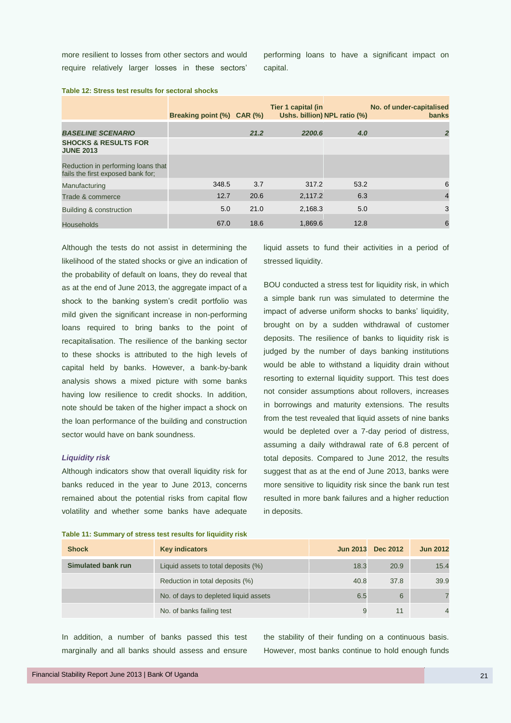more resilient to losses from other sectors and would require relatively larger losses in these sectors' performing loans to have a significant impact on capital.

|                                                                         | Breaking point (%) CAR (%) |      | Tier 1 capital (in<br>Ushs. billion) NPL ratio (%) |      | No. of under-capitalised<br><b>banks</b> |
|-------------------------------------------------------------------------|----------------------------|------|----------------------------------------------------|------|------------------------------------------|
| <b>BASELINE SCENARIO</b>                                                |                            | 21.2 | 2200.6                                             | 4.0  | $\overline{2}$                           |
| <b>SHOCKS &amp; RESULTS FOR</b><br><b>JUNE 2013</b>                     |                            |      |                                                    |      |                                          |
| Reduction in performing loans that<br>fails the first exposed bank for: |                            |      |                                                    |      |                                          |
| Manufacturing                                                           | 348.5                      | 3.7  | 317.2                                              | 53.2 | 6                                        |
| Trade & commerce                                                        | 12.7                       | 20.6 | 2,117.2                                            | 6.3  | $\overline{4}$                           |
| Building & construction                                                 | 5.0                        | 21.0 | 2,168.3                                            | 5.0  | 3                                        |
| Households                                                              | 67.0                       | 18.6 | 1,869.6                                            | 12.8 | 6                                        |

**Table 12: Stress test results for sectoral shocks**

Although the tests do not assist in determining the likelihood of the stated shocks or give an indication of the probability of default on loans, they do reveal that as at the end of June 2013, the aggregate impact of a shock to the banking system's credit portfolio was mild given the significant increase in non-performing loans required to bring banks to the point of recapitalisation. The resilience of the banking sector to these shocks is attributed to the high levels of capital held by banks. However, a bank-by-bank analysis shows a mixed picture with some banks having low resilience to credit shocks. In addition, note should be taken of the higher impact a shock on the loan performance of the building and construction sector would have on bank soundness.

### *Liquidity risk*

Although indicators show that overall liquidity risk for banks reduced in the year to June 2013, concerns remained about the potential risks from capital flow volatility and whether some banks have adequate

**Table 11: Summary of stress test results for liquidity risk**

liquid assets to fund their activities in a period of stressed liquidity.

BOU conducted a stress test for liquidity risk, in which a simple bank run was simulated to determine the impact of adverse uniform shocks to banks' liquidity, brought on by a sudden withdrawal of customer deposits. The resilience of banks to liquidity risk is judged by the number of days banking institutions would be able to withstand a liquidity drain without resorting to external liquidity support. This test does not consider assumptions about rollovers, increases in borrowings and maturity extensions. The results from the test revealed that liquid assets of nine banks would be depleted over a 7-day period of distress, assuming a daily withdrawal rate of 6.8 percent of total deposits. Compared to June 2012, the results suggest that as at the end of June 2013, banks were more sensitive to liquidity risk since the bank run test resulted in more bank failures and a higher reduction in deposits.

| <b>Shock</b>       | <b>Key indicators</b>                 |      | Jun 2013 Dec 2012 | <b>Jun 2012</b> |
|--------------------|---------------------------------------|------|-------------------|-----------------|
| Simulated bank run | Liquid assets to total deposits (%)   | 18.3 | 20.9              | 15.4            |
|                    | Reduction in total deposits (%)       | 40.8 | 37.8              | 39.9            |
|                    | No. of days to depleted liquid assets | 6.5  | 6                 |                 |
|                    | No. of banks failing test             | 9    |                   |                 |

In addition, a number of banks passed this test marginally and all banks should assess and ensure

the stability of their funding on a continuous basis. However, most banks continue to hold enough funds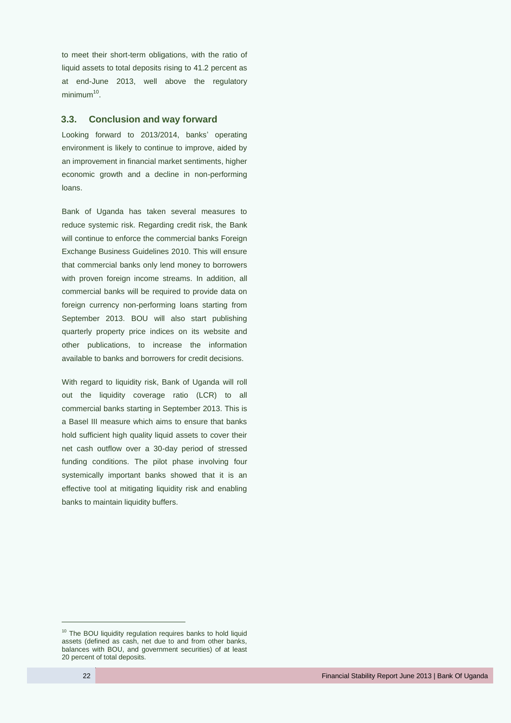to meet their short-term obligations, with the ratio of liquid assets to total deposits rising to 41.2 percent as at end-June 2013, well above the regulatory minimum<sup>10</sup>.

## <span id="page-29-0"></span>**3.3. Conclusion and way forward**

Looking forward to 2013/2014, banks' operating environment is likely to continue to improve, aided by an improvement in financial market sentiments, higher economic growth and a decline in non-performing loans.

Bank of Uganda has taken several measures to reduce systemic risk. Regarding credit risk, the Bank will continue to enforce the commercial banks Foreign Exchange Business Guidelines 2010. This will ensure that commercial banks only lend money to borrowers with proven foreign income streams. In addition, all commercial banks will be required to provide data on foreign currency non-performing loans starting from September 2013. BOU will also start publishing quarterly property price indices on its website and other publications, to increase the information available to banks and borrowers for credit decisions.

With regard to liquidity risk, Bank of Uganda will roll out the liquidity coverage ratio (LCR) to all commercial banks starting in September 2013. This is a Basel III measure which aims to ensure that banks hold sufficient high quality liquid assets to cover their net cash outflow over a 30-day period of stressed funding conditions. The pilot phase involving four systemically important banks showed that it is an effective tool at mitigating liquidity risk and enabling banks to maintain liquidity buffers.

 $\overline{a}$ 

<sup>&</sup>lt;sup>10</sup> The BOU liquidity regulation requires banks to hold liquid assets (defined as cash, net due to and from other banks, balances with BOU, and government securities) of at least 20 percent of total deposits.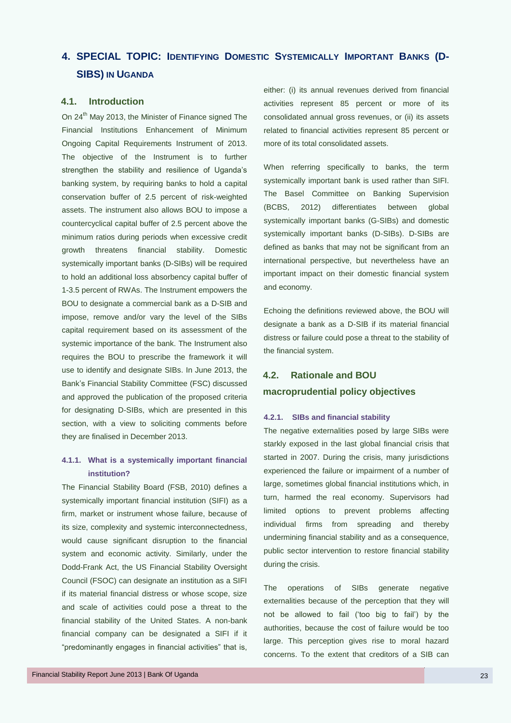## <span id="page-30-0"></span>**4. SPECIAL TOPIC: IDENTIFYING DOMESTIC SYSTEMICALLY IMPORTANT BANKS (D-SIBS) IN UGANDA**

## <span id="page-30-1"></span>**4.1. Introduction**

On 24<sup>th</sup> May 2013, the Minister of Finance signed The Financial Institutions Enhancement of Minimum Ongoing Capital Requirements Instrument of 2013. The objective of the Instrument is to further strengthen the stability and resilience of Uganda's banking system, by requiring banks to hold a capital conservation buffer of 2.5 percent of risk-weighted assets. The instrument also allows BOU to impose a countercyclical capital buffer of 2.5 percent above the minimum ratios during periods when excessive credit growth threatens financial stability. Domestic systemically important banks (D-SIBs) will be required to hold an additional loss absorbency capital buffer of 1-3.5 percent of RWAs. The Instrument empowers the BOU to designate a commercial bank as a D-SIB and impose, remove and/or vary the level of the SIBs capital requirement based on its assessment of the systemic importance of the bank. The Instrument also requires the BOU to prescribe the framework it will use to identify and designate SIBs. In June 2013, the Bank's Financial Stability Committee (FSC) discussed and approved the publication of the proposed criteria for designating D-SIBs, which are presented in this section, with a view to soliciting comments before they are finalised in December 2013.

## **4.1.1. What is a systemically important financial institution?**

The Financial Stability Board (FSB, 2010) defines a systemically important financial institution (SIFI) as a firm, market or instrument whose failure, because of its size, complexity and systemic interconnectedness, would cause significant disruption to the financial system and economic activity. Similarly, under the Dodd-Frank Act, the US Financial Stability Oversight Council (FSOC) can designate an institution as a SIFI if its material financial distress or whose scope, size and scale of activities could pose a threat to the financial stability of the United States. A non-bank financial company can be designated a SIFI if it "predominantly engages in financial activities" that is,

either: (i) its annual revenues derived from financial activities represent 85 percent or more of its consolidated annual gross revenues, or (ii) its assets related to financial activities represent 85 percent or more of its total consolidated assets.

When referring specifically to banks, the term systemically important bank is used rather than SIFI. The Basel Committee on Banking Supervision (BCBS, 2012) differentiates between global systemically important banks (G-SIBs) and domestic systemically important banks (D-SIBs). D-SIBs are defined as banks that may not be significant from an international perspective, but nevertheless have an important impact on their domestic financial system and economy.

Echoing the definitions reviewed above, the BOU will designate a bank as a D-SIB if its material financial distress or failure could pose a threat to the stability of the financial system.

## <span id="page-30-2"></span>**4.2. Rationale and BOU**

### **macroprudential policy objectives**

### **4.2.1. SIBs and financial stability**

The negative externalities posed by large SIBs were starkly exposed in the last global financial crisis that started in 2007. During the crisis, many jurisdictions experienced the failure or impairment of a number of large, sometimes global financial institutions which, in turn, harmed the real economy. Supervisors had limited options to prevent problems affecting individual firms from spreading and thereby undermining financial stability and as a consequence, public sector intervention to restore financial stability during the crisis.

The operations of SIBs generate negative externalities because of the perception that they will not be allowed to fail ('too big to fail') by the authorities, because the cost of failure would be too large. This perception gives rise to moral hazard concerns. To the extent that creditors of a SIB can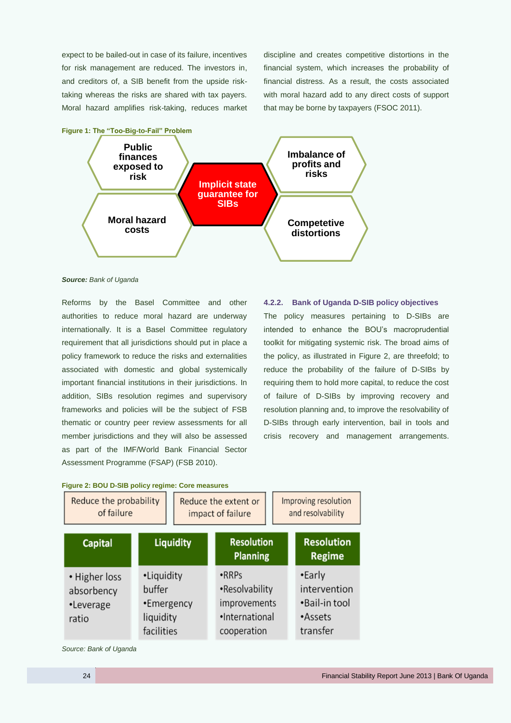expect to be bailed-out in case of its failure, incentives for risk management are reduced. The investors in, and creditors of, a SIB benefit from the upside risktaking whereas the risks are shared with tax payers. Moral hazard amplifies risk-taking, reduces market discipline and creates competitive distortions in the financial system, which increases the probability of financial distress. As a result, the costs associated with moral hazard add to any direct costs of support that may be borne by taxpayers (FSOC 2011).



#### *Source: Bank of Uganda*

Reforms by the Basel Committee and other authorities to reduce moral hazard are underway internationally. It is a Basel Committee regulatory requirement that all jurisdictions should put in place a policy framework to reduce the risks and externalities associated with domestic and global systemically important financial institutions in their jurisdictions. In addition, SIBs resolution regimes and supervisory frameworks and policies will be the subject of FSB thematic or country peer review assessments for all member jurisdictions and they will also be assessed as part of the IMF/World Bank Financial Sector Assessment Programme (FSAP) (FSB 2010).

#### **4.2.2. Bank of Uganda D-SIB policy objectives**

The policy measures pertaining to D-SIBs are intended to enhance the BOU's macroprudential toolkit for mitigating systemic risk. The broad aims of the policy, as illustrated in [Figure 2,](#page-31-0) are threefold; to reduce the probability of the failure of D-SIBs by requiring them to hold more capital, to reduce the cost of failure of D-SIBs by improving recovery and resolution planning and, to improve the resolvability of D-SIBs through early intervention, bail in tools and crisis recovery and management arrangements.

<span id="page-31-0"></span>

|  | Figure 2: BOU D-SIB policy regime: Core measures |
|--|--------------------------------------------------|
|--|--------------------------------------------------|

| Reduce the probability<br>of failure              |                                                               | Reduce the extent or<br>impact of failure |  | Improving resolution<br>and resolvability                                       |                                                                |  |
|---------------------------------------------------|---------------------------------------------------------------|-------------------------------------------|--|---------------------------------------------------------------------------------|----------------------------------------------------------------|--|
| <b>Capital</b>                                    |                                                               | <b>Liquidity</b>                          |  | <b>Resolution</b><br><b>Planning</b>                                            | <b>Resolution</b><br><b>Regime</b>                             |  |
| • Higher loss<br>absorbency<br>•Leverage<br>ratio | •Liquidity<br>buffer<br>•Emergency<br>liquidity<br>facilities |                                           |  | $\cdot$ RRPs<br>•Resolvability<br>improvements<br>·International<br>cooperation | •Early<br>intervention<br>•Bail-in tool<br>•Assets<br>transfer |  |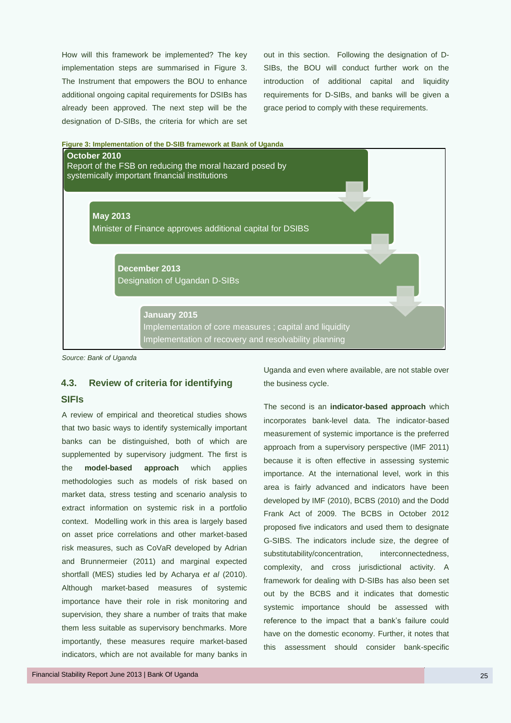How will this framework be implemented? The key implementation steps are summarised in [Figure 3.](#page-32-1) The Instrument that empowers the BOU to enhance additional ongoing capital requirements for DSIBs has already been approved. The next step will be the designation of D-SIBs, the criteria for which are set out in this section. Following the designation of D-SIBs, the BOU will conduct further work on the introduction of additional capital and liquidity requirements for D-SIBs, and banks will be given a grace period to comply with these requirements.

<span id="page-32-1"></span>

*Source: Bank of Uganda*

## <span id="page-32-0"></span>**4.3. Review of criteria for identifying**

## **SIFIs**

A review of empirical and theoretical studies shows that two basic ways to identify systemically important banks can be distinguished, both of which are supplemented by supervisory judgment. The first is the **model-based approach** which applies methodologies such as models of risk based on market data, stress testing and scenario analysis to extract information on systemic risk in a portfolio context. Modelling work in this area is largely based on asset price correlations and other market-based risk measures, such as CoVaR developed by Adrian and Brunnermeier (2011) and marginal expected shortfall (MES) studies led by Acharya *et al* (2010). Although market-based measures of systemic importance have their role in risk monitoring and supervision, they share a number of traits that make them less suitable as supervisory benchmarks. More importantly, these measures require market-based indicators, which are not available for many banks in

Financial Stability Report June 2013 | Bank Of Uganda 25

Uganda and even where available, are not stable over the business cycle.

The second is an **indicator-based approach** which incorporates bank-level data. The indicator-based measurement of systemic importance is the preferred approach from a supervisory perspective (IMF 2011) because it is often effective in assessing systemic importance. At the international level, work in this area is fairly advanced and indicators have been developed by IMF (2010), BCBS (2010) and the Dodd Frank Act of 2009. The BCBS in October 2012 proposed five indicators and used them to designate G-SIBS. The indicators include size, the degree of substitutability/concentration, interconnectedness, complexity, and cross jurisdictional activity. A framework for dealing with D-SIBs has also been set out by the BCBS and it indicates that domestic systemic importance should be assessed with reference to the impact that a bank's failure could have on the domestic economy. Further, it notes that this assessment should consider bank-specific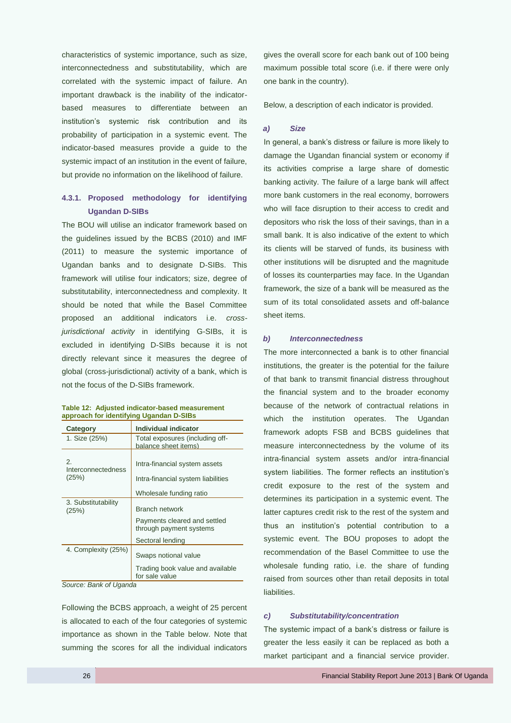characteristics of systemic importance, such as size, interconnectedness and substitutability, which are correlated with the systemic impact of failure. An important drawback is the inability of the indicatorbased measures to differentiate between an institution's systemic risk contribution and its probability of participation in a systemic event. The indicator-based measures provide a guide to the systemic impact of an institution in the event of failure, but provide no information on the likelihood of failure.

## **4.3.1. Proposed methodology for identifying Ugandan D-SIBs**

The BOU will utilise an indicator framework based on the guidelines issued by the BCBS (2010) and IMF (2011) to measure the systemic importance of Ugandan banks and to designate D-SIBs. This framework will utilise four indicators; size, degree of substitutability, interconnectedness and complexity. It should be noted that while the Basel Committee proposed an additional indicators i.e. *crossjurisdictional activity* in identifying G-SIBs, it is excluded in identifying D-SIBs because it is not directly relevant since it measures the degree of global (cross-jurisdictional) activity of a bank, which is not the focus of the D-SIBs framework.

#### **Table 12: Adjusted indicator-based measurement approach for identifying Ugandan D-SIBs**

| Category                     | Individual indicator                                    |  |  |
|------------------------------|---------------------------------------------------------|--|--|
| 1. Size (25%)                | Total exposures (including off-<br>balance sheet items) |  |  |
| 2.<br>Interconnectedness     | Intra-financial system assets                           |  |  |
| (25%)                        | Intra-financial system liabilities                      |  |  |
|                              | Wholesale funding ratio                                 |  |  |
| 3. Substitutability<br>(25%) | <b>Branch network</b>                                   |  |  |
|                              | Payments cleared and settled<br>through payment systems |  |  |
|                              | Sectoral lending                                        |  |  |
| 4. Complexity (25%)          | Swaps notional value                                    |  |  |
|                              | Trading book value and available<br>for sale value      |  |  |

*Source: Bank of Uganda* 

Following the BCBS approach, a weight of 25 percent is allocated to each of the four categories of systemic importance as shown in the Table below. Note that summing the scores for all the individual indicators

gives the overall score for each bank out of 100 being maximum possible total score (i.e. if there were only one bank in the country).

Below, a description of each indicator is provided.

### *a) Size*

In general, a bank's distress or failure is more likely to damage the Ugandan financial system or economy if its activities comprise a large share of domestic banking activity. The failure of a large bank will affect more bank customers in the real economy, borrowers who will face disruption to their access to credit and depositors who risk the loss of their savings, than in a small bank. It is also indicative of the extent to which its clients will be starved of funds, its business with other institutions will be disrupted and the magnitude of losses its counterparties may face. In the Ugandan framework, the size of a bank will be measured as the sum of its total consolidated assets and off-balance sheet items.

#### *b) Interconnectedness*

The more interconnected a bank is to other financial institutions, the greater is the potential for the failure of that bank to transmit financial distress throughout the financial system and to the broader economy because of the network of contractual relations in which the institution operates. The Ugandan framework adopts FSB and BCBS guidelines that measure interconnectedness by the volume of its intra-financial system assets and/or intra-financial system liabilities. The former reflects an institution's credit exposure to the rest of the system and determines its participation in a systemic event. The latter captures credit risk to the rest of the system and thus an institution's potential contribution to a systemic event. The BOU proposes to adopt the recommendation of the Basel Committee to use the wholesale funding ratio, i.e. the share of funding raised from sources other than retail deposits in total liabilities.

#### *c) Substitutability/concentration*

The systemic impact of a bank's distress or failure is greater the less easily it can be replaced as both a market participant and a financial service provider.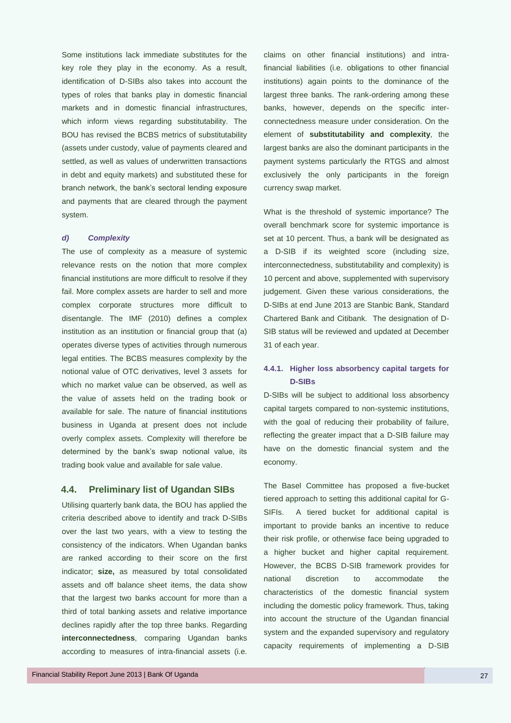Some institutions lack immediate substitutes for the key role they play in the economy. As a result, identification of D-SIBs also takes into account the types of roles that banks play in domestic financial markets and in domestic financial infrastructures, which inform views regarding substitutability. The BOU has revised the BCBS metrics of substitutability (assets under custody, value of payments cleared and settled, as well as values of underwritten transactions in debt and equity markets) and substituted these for branch network, the bank's sectoral lending exposure and payments that are cleared through the payment system.

#### *d) Complexity*

The use of complexity as a measure of systemic relevance rests on the notion that more complex financial institutions are more difficult to resolve if they fail. More complex assets are harder to sell and more complex corporate structures more difficult to disentangle. The IMF (2010) defines a complex institution as an institution or financial group that (a) operates diverse types of activities through numerous legal entities. The BCBS measures complexity by the notional value of OTC derivatives, level 3 assets for which no market value can be observed, as well as the value of assets held on the trading book or available for sale. The nature of financial institutions business in Uganda at present does not include overly complex assets. Complexity will therefore be determined by the bank's swap notional value, its trading book value and available for sale value.

### <span id="page-34-0"></span>**4.4. Preliminary list of Ugandan SIBs**

Utilising quarterly bank data, the BOU has applied the criteria described above to identify and track D-SIBs over the last two years, with a view to testing the consistency of the indicators. When Ugandan banks are ranked according to their score on the first indicator; **size,** as measured by total consolidated assets and off balance sheet items, the data show that the largest two banks account for more than a third of total banking assets and relative importance declines rapidly after the top three banks. Regarding **interconnectedness**, comparing Ugandan banks according to measures of intra-financial assets (i.e. claims on other financial institutions) and intrafinancial liabilities (i.e. obligations to other financial institutions) again points to the dominance of the largest three banks. The rank-ordering among these banks, however, depends on the specific interconnectedness measure under consideration. On the element of **substitutability and complexity**, the largest banks are also the dominant participants in the payment systems particularly the RTGS and almost exclusively the only participants in the foreign currency swap market.

What is the threshold of systemic importance? The overall benchmark score for systemic importance is set at 10 percent. Thus, a bank will be designated as a D-SIB if its weighted score (including size, interconnectedness, substitutability and complexity) is 10 percent and above, supplemented with supervisory judgement. Given these various considerations, the D-SIBs at end June 2013 are Stanbic Bank, Standard Chartered Bank and Citibank. The designation of D-SIB status will be reviewed and updated at December 31 of each year.

## **4.4.1. Higher loss absorbency capital targets for D-SIBs**

D-SIBs will be subject to additional loss absorbency capital targets compared to non-systemic institutions, with the goal of reducing their probability of failure, reflecting the greater impact that a D-SIB failure may have on the domestic financial system and the economy.

The Basel Committee has proposed a five-bucket tiered approach to setting this additional capital for G-SIFIs. A tiered bucket for additional capital is important to provide banks an incentive to reduce their risk profile, or otherwise face being upgraded to a higher bucket and higher capital requirement. However, the BCBS D-SIB framework provides for national discretion to accommodate the characteristics of the domestic financial system including the domestic policy framework. Thus, taking into account the structure of the Ugandan financial system and the expanded supervisory and regulatory capacity requirements of implementing a D-SIB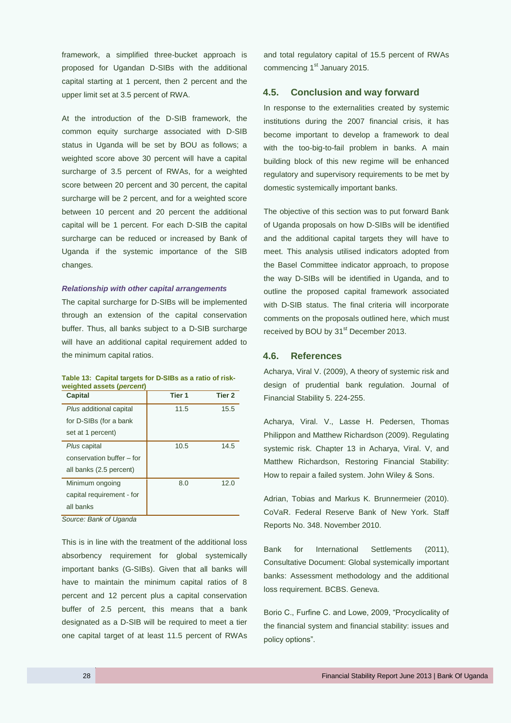framework, a simplified three-bucket approach is proposed for Ugandan D-SIBs with the additional capital starting at 1 percent, then 2 percent and the upper limit set at 3.5 percent of RWA.

At the introduction of the D-SIB framework, the common equity surcharge associated with D-SIB status in Uganda will be set by BOU as follows; a weighted score above 30 percent will have a capital surcharge of 3.5 percent of RWAs, for a weighted score between 20 percent and 30 percent, the capital surcharge will be 2 percent, and for a weighted score between 10 percent and 20 percent the additional capital will be 1 percent. For each D-SIB the capital surcharge can be reduced or increased by Bank of Uganda if the systemic importance of the SIB changes.

#### *Relationship with other capital arrangements*

The capital surcharge for D-SIBs will be implemented through an extension of the capital conservation buffer. Thus, all banks subject to a D-SIB surcharge will have an additional capital requirement added to the minimum capital ratios.

| Table 13: Capital targets for D-SIBs as a ratio of risk- |  |  |  |
|----------------------------------------------------------|--|--|--|
| weighted assets (percent)                                |  |  |  |

| Capital                   | Tier 1 | Tier 2 |
|---------------------------|--------|--------|
| Plus additional capital   | 11.5   | 15.5   |
| for D-SIBs (for a bank    |        |        |
| set at 1 percent)         |        |        |
| Plus capital              | 10.5   | 14.5   |
| conservation buffer - for |        |        |
| all banks (2.5 percent)   |        |        |
| Minimum ongoing           | 8.0    | 12.0   |
| capital requirement - for |        |        |
| all banks                 |        |        |

*Source: Bank of Uganda*

This is in line with the treatment of the additional loss absorbency requirement for global systemically important banks (G-SIBs). Given that all banks will have to maintain the minimum capital ratios of 8 percent and 12 percent plus a capital conservation buffer of 2.5 percent, this means that a bank designated as a D-SIB will be required to meet a tier one capital target of at least 11.5 percent of RWAs

and total regulatory capital of 15.5 percent of RWAs commencing 1<sup>st</sup> January 2015.

## <span id="page-35-0"></span>**4.5. Conclusion and way forward**

In response to the externalities created by systemic institutions during the 2007 financial crisis, it has become important to develop a framework to deal with the too-big-to-fail problem in banks. A main building block of this new regime will be enhanced regulatory and supervisory requirements to be met by domestic systemically important banks.

The objective of this section was to put forward Bank of Uganda proposals on how D-SIBs will be identified and the additional capital targets they will have to meet. This analysis utilised indicators adopted from the Basel Committee indicator approach, to propose the way D-SIBs will be identified in Uganda, and to outline the proposed capital framework associated with D-SIB status. The final criteria will incorporate comments on the proposals outlined here, which must received by BOU by 31<sup>st</sup> December 2013.

## <span id="page-35-1"></span>**4.6. References**

Acharya, Viral V. (2009), A theory of systemic risk and design of prudential bank regulation. Journal of Financial Stability 5. 224-255.

Acharya, Viral. V., Lasse H. Pedersen, Thomas Philippon and Matthew Richardson (2009). Regulating systemic risk. Chapter 13 in Acharya, Viral. V, and Matthew Richardson, Restoring Financial Stability: How to repair a failed system. John Wiley & Sons.

Adrian, Tobias and Markus K. Brunnermeier (2010). CoVaR. Federal Reserve Bank of New York. Staff Reports No. 348. November 2010.

Bank for International Settlements (2011), Consultative Document: Global systemically important banks: Assessment methodology and the additional loss requirement. BCBS. Geneva.

Borio C., Furfine C. and Lowe, 2009, "Procyclicality of the financial system and financial stability: issues and policy options".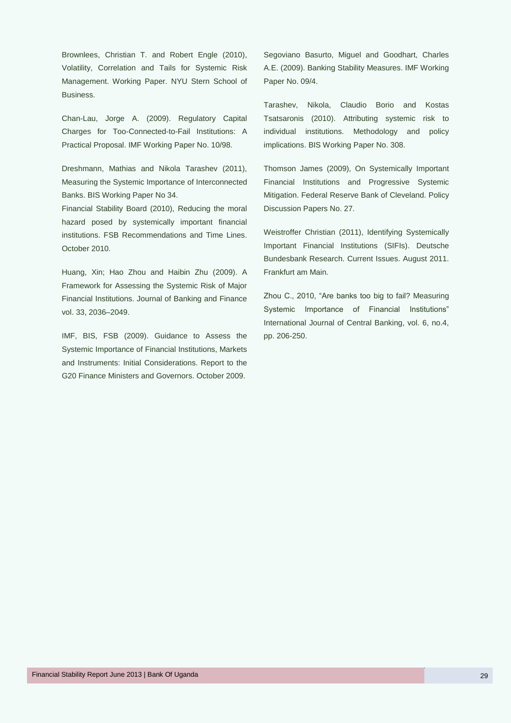Brownlees, Christian T. and Robert Engle (2010), Volatility, Correlation and Tails for Systemic Risk Management. Working Paper. NYU Stern School of Business.

Chan-Lau, Jorge A. (2009). Regulatory Capital Charges for Too-Connected-to-Fail Institutions: A Practical Proposal. IMF Working Paper No. 10/98.

Dreshmann, Mathias and Nikola Tarashev (2011), Measuring the Systemic Importance of Interconnected Banks. BIS Working Paper No 34.

Financial Stability Board (2010), Reducing the moral hazard posed by systemically important financial institutions. FSB Recommendations and Time Lines. October 2010.

Huang, Xin; Hao Zhou and Haibin Zhu (2009). A Framework for Assessing the Systemic Risk of Major Financial Institutions. Journal of Banking and Finance vol. 33, 2036–2049.

IMF, BIS, FSB (2009). Guidance to Assess the Systemic Importance of Financial Institutions, Markets and Instruments: Initial Considerations. Report to the G20 Finance Ministers and Governors. October 2009.

Segoviano Basurto, Miguel and Goodhart, Charles A.E. (2009). Banking Stability Measures. IMF Working Paper No. 09/4.

Tarashev, Nikola, Claudio Borio and Kostas Tsatsaronis (2010). Attributing systemic risk to individual institutions. Methodology and policy implications. BIS Working Paper No. 308.

Thomson James (2009), On Systemically Important Financial Institutions and Progressive Systemic Mitigation. Federal Reserve Bank of Cleveland. Policy Discussion Papers No. 27.

Weistroffer Christian (2011), Identifying Systemically Important Financial Institutions (SIFIs). Deutsche Bundesbank Research. Current Issues. August 2011. Frankfurt am Main.

Zhou C., 2010, "Are banks too big to fail? Measuring Systemic Importance of Financial Institutions" International Journal of Central Banking, vol. 6, no.4, pp. 206-250.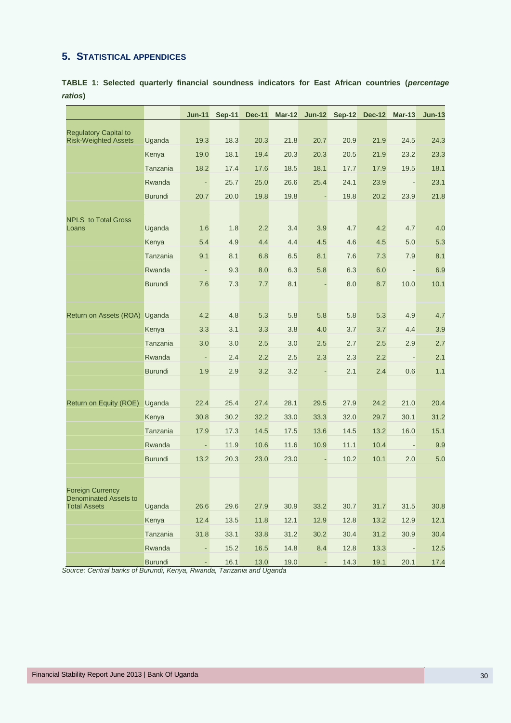## <span id="page-37-0"></span>**5. STATISTICAL APPENDICES**

**TABLE 1: Selected quarterly financial soundness indicators for East African countries (***percentage ratios***)**

|                                                     |                | $Jun-11$       | $Sep-11$ | <b>Dec-11</b> |      | Mar-12 Jun-12 Sep-12 |      | <b>Dec-12</b> | $Mar-13$ | $Jun-13$ |
|-----------------------------------------------------|----------------|----------------|----------|---------------|------|----------------------|------|---------------|----------|----------|
| <b>Regulatory Capital to</b>                        |                |                |          |               |      |                      |      |               |          |          |
| <b>Risk-Weighted Assets</b>                         | Uganda         | 19.3           | 18.3     | 20.3          | 21.8 | 20.7                 | 20.9 | 21.9          | 24.5     | 24.3     |
|                                                     | Kenya          | 19.0           | 18.1     | 19.4          | 20.3 | 20.3                 | 20.5 | 21.9          | 23.2     | 23.3     |
|                                                     | Tanzania       | 18.2           | 17.4     | 17.6          | 18.5 | 18.1                 | 17.7 | 17.9          | 19.5     | 18.1     |
|                                                     | Rwanda         | ÷,             | 25.7     | 25.0          | 26.6 | 25.4                 | 24.1 | 23.9          |          | 23.1     |
|                                                     | <b>Burundi</b> | 20.7           | 20.0     | 19.8          | 19.8 |                      | 19.8 | 20.2          | 23.9     | 21.8     |
|                                                     |                |                |          |               |      |                      |      |               |          |          |
| <b>NPLS</b> to Total Gross<br>Loans                 | Uganda         | 1.6            | 1.8      | 2.2           | 3.4  | 3.9                  | 4.7  | 4.2           | 4.7      | 4.0      |
|                                                     | Kenya          | 5.4            | 4.9      | 4.4           | 4.4  | 4.5                  | 4.6  | 4.5           | 5.0      | 5.3      |
|                                                     | Tanzania       | 9.1            | 8.1      | 6.8           | 6.5  | 8.1                  | 7.6  | 7.3           | 7.9      | 8.1      |
|                                                     | Rwanda         | $\blacksquare$ | 9.3      | 8.0           | 6.3  | 5.8                  | 6.3  | 6.0           |          | 6.9      |
|                                                     | <b>Burundi</b> | 7.6            | 7.3      | 7.7           | 8.1  |                      | 8.0  | 8.7           | 10.0     | 10.1     |
|                                                     |                |                |          |               |      |                      |      |               |          |          |
| Return on Assets (ROA) Uganda                       |                | 4.2            | 4.8      | 5.3           | 5.8  | 5.8                  | 5.8  | 5.3           | 4.9      | 4.7      |
|                                                     | Kenya          | 3.3            | 3.1      | 3.3           | 3.8  | 4.0                  | 3.7  | 3.7           | 4.4      | 3.9      |
|                                                     | Tanzania       | 3.0            | 3.0      | 2.5           | 3.0  | 2.5                  | 2.7  | 2.5           | 2.9      | 2.7      |
|                                                     | Rwanda         | ٠              | 2.4      | 2.2           | 2.5  | 2.3                  | 2.3  | 2.2           |          | 2.1      |
|                                                     | <b>Burundi</b> | 1.9            | 2.9      | 3.2           | 3.2  |                      | 2.1  | 2.4           | 0.6      | 1.1      |
|                                                     |                |                |          |               |      |                      |      |               |          |          |
| Return on Equity (ROE)                              | Uganda         | 22.4           | 25.4     | 27.4          | 28.1 | 29.5                 | 27.9 | 24.2          | 21.0     | 20.4     |
|                                                     | Kenya          | 30.8           | 30.2     | 32.2          | 33.0 | 33.3                 | 32.0 | 29.7          | 30.1     | 31.2     |
|                                                     | Tanzania       | 17.9           | 17.3     | 14.5          | 17.5 | 13.6                 | 14.5 | 13.2          | 16.0     | 15.1     |
|                                                     | Rwanda         |                | 11.9     | 10.6          | 11.6 | 10.9                 | 11.1 | 10.4          |          | 9.9      |
|                                                     | <b>Burundi</b> | 13.2           | 20.3     | 23.0          | 23.0 |                      | 10.2 | 10.1          | 2.0      | 5.0      |
|                                                     |                |                |          |               |      |                      |      |               |          |          |
| <b>Foreign Currency</b>                             |                |                |          |               |      |                      |      |               |          |          |
| <b>Denominated Assets to</b><br><b>Total Assets</b> | Uganda         | 26.6           | 29.6     | 27.9          | 30.9 | 33.2                 | 30.7 | 31.7          | 31.5     | 30.8     |
|                                                     | Kenya          | 12.4           | 13.5     | 11.8          | 12.1 | 12.9                 | 12.8 | 13.2          | 12.9     | 12.1     |
|                                                     | Tanzania       | 31.8           | 33.1     | 33.8          | 31.2 | 30.2                 | 30.4 | 31.2          | 30.9     | 30.4     |
|                                                     | Rwanda         | ÷,             | 15.2     | 16.5          | 14.8 | 8.4                  | 12.8 | 13.3          |          | $12.5$   |
|                                                     | <b>Burundi</b> |                | 16.1     | 13.0          | 19.0 |                      | 14.3 | 19.1          | 20.1     | 17.4     |

*Source: Central banks of Burundi, Kenya, Rwanda, Tanzania and Uganda*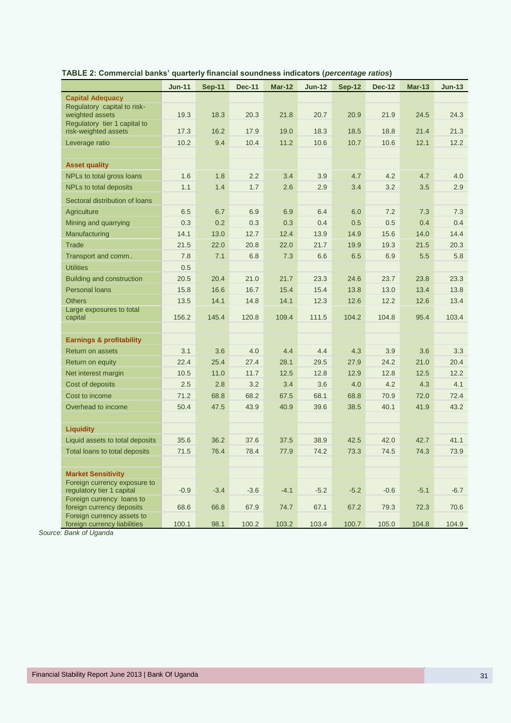|                                                            | <b>Jun-11</b> | <b>Sep-11</b> | <b>Dec-11</b> | <b>Mar-12</b> | <b>Jun-12</b> | <b>Sep-12</b> | <b>Dec-12</b> | <b>Mar-13</b> | $Jun-13$ |
|------------------------------------------------------------|---------------|---------------|---------------|---------------|---------------|---------------|---------------|---------------|----------|
| <b>Capital Adequacy</b>                                    |               |               |               |               |               |               |               |               |          |
| Regulatory capital to risk-<br>weighted assets             | 19.3          | 18.3          | 20.3          | 21.8          | 20.7          | 20.9          | 21.9          | 24.5          | 24.3     |
| Regulatory tier 1 capital to<br>risk-weighted assets       | 17.3          | 16.2          | 17.9          | 19.0          | 18.3          | 18.5          | 18.8          | 21.4          | 21.3     |
| Leverage ratio                                             | 10.2          | 9.4           | 10.4          | 11.2          | 10.6          | 10.7          | 10.6          | 12.1          | 12.2     |
|                                                            |               |               |               |               |               |               |               |               |          |
| <b>Asset quality</b>                                       |               |               |               |               |               |               |               |               |          |
| NPLs to total gross loans                                  | 1.6           | 1.8           | 2.2           | 3.4           | 3.9           | 4.7           | 4.2           | 4.7           | 4.0      |
| NPLs to total deposits                                     | 1.1           | 1.4           | 1.7           | 2.6           | 2.9           | 3.4           | 3.2           | 3.5           | 2.9      |
| Sectoral distribution of loans                             |               |               |               |               |               |               |               |               |          |
| Agriculture                                                | 6.5           | 6.7           | 6.9           | 6.9           | 6.4           | 6.0           | 7.2           | 7.3           | 7.3      |
| Mining and quarrying                                       | 0.3           | 0.2           | 0.3           | 0.3           | 0.4           | 0.5           | 0.5           | 0.4           | 0.4      |
| Manufacturing                                              | 14.1          | 13.0          | 12.7          | 12.4          | 13.9          | 14.9          | 15.6          | 14.0          | 14.4     |
| <b>Trade</b>                                               | 21.5          | 22.0          | 20.8          | 22.0          | 21.7          | 19.9          | 19.3          | 21.5          | 20.3     |
| Transport and comm                                         | 7.8           | 7.1           | 6.8           | 7.3           | 6.6           | 6.5           | 6.9           | 5.5           | 5.8      |
| <b>Utilities</b>                                           | 0.5           |               |               |               |               |               |               |               |          |
| Building and construction                                  | 20.5          | 20.4          | 21.0          | 21.7          | 23.3          | 24.6          | 23.7          | 23.8          | 23.3     |
| <b>Personal loans</b>                                      | 15.8          | 16.6          | 16.7          | 15.4          | 15.4          | 13.8          | 13.0          | 13.4          | 13.8     |
| <b>Others</b>                                              | 13.5          | 14.1          | 14.8          | 14.1          | 12.3          | 12.6          | 12.2          | 12.6          | 13.4     |
| Large exposures to total<br>capital                        | 156.2         | 145.4         | 120.8         | 109.4         | 111.5         | 104.2         | 104.8         | 95.4          | 103.4    |
| <b>Earnings &amp; profitability</b>                        |               |               |               |               |               |               |               |               |          |
| <b>Return on assets</b>                                    | 3.1           | 3.6           | 4.0           | 4.4           | 4.4           | 4.3           | 3.9           | 3.6           | 3.3      |
| Return on equity                                           | 22.4          | 25.4          | 27.4          | 28.1          | 29.5          | 27.9          | 24.2          | 21.0          | 20.4     |
| Net interest margin                                        | 10.5          | 11.0          | 11.7          | 12.5          | 12.8          | 12.9          | 12.8          | 12.5          | 12.2     |
| Cost of deposits                                           | 2.5           | 2.8           | 3.2           | 3.4           | 3.6           | 4.0           | 4.2           | 4.3           | 4.1      |
| Cost to income                                             | 71.2          | 68.8          | 68.2          | 67.5          | 68.1          | 68.8          | 70.9          | 72.0          | 72.4     |
| Overhead to income                                         | 50.4          | 47.5          | 43.9          | 40.9          | 39.6          | 38.5          | 40.1          | 41.9          | 43.2     |
|                                                            |               |               |               |               |               |               |               |               |          |
| <b>Liquidity</b>                                           |               |               |               |               |               |               |               |               |          |
| Liquid assets to total deposits                            | 35.6          | 36.2          | 37.6          | 37.5          | 38.9          | 42.5          | 42.0          | 42.7          | 41.1     |
| Total loans to total deposits                              | 71.5          | 76.4          | 78.4          | 77.9          | 74.2          | 73.3          | 74.5          | 74.3          | 73.9     |
|                                                            |               |               |               |               |               |               |               |               |          |
| <b>Market Sensitivity</b>                                  |               |               |               |               |               |               |               |               |          |
| Foreign currency exposure to<br>regulatory tier 1 capital  | $-0.9$        | $-3.4$        | $-3.6$        | $-4.1$        | $-5.2$        | $-5.2$        | $-0.6$        | $-5.1$        | $-6.7$   |
| Foreign currency loans to<br>foreign currency deposits     | 68.6          | 66.8          | 67.9          | 74.7          | 67.1          | 67.2          | 79.3          | 72.3          | 70.6     |
| Foreign currency assets to<br>foreign currency liabilities | 100.1         | 98.1          | 100.2         | 103.2         | 103.4         | 100.7         | 105.0         | 104.8         | 104.9    |

**TABLE 2: Commercial banks' quarterly financial soundness indicators (***percentage ratios***)**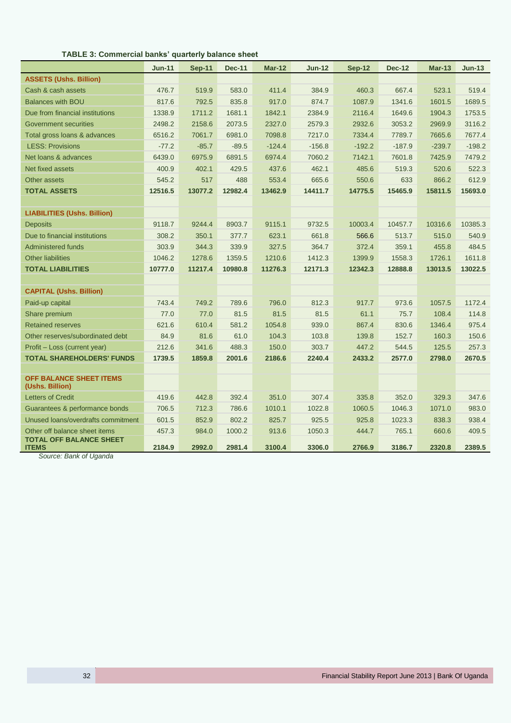| TABLE 3: Commercial banks' quarterly balance sheet |  |
|----------------------------------------------------|--|
|----------------------------------------------------|--|

|                                                | <b>Jun-11</b> | Sep-11  | <b>Dec-11</b> | <b>Mar-12</b> | <b>Jun-12</b> | Sep-12   | <b>Dec-12</b> | $Mar-13$ | $Jun-13$ |
|------------------------------------------------|---------------|---------|---------------|---------------|---------------|----------|---------------|----------|----------|
| <b>ASSETS (Ushs. Billion)</b>                  |               |         |               |               |               |          |               |          |          |
| Cash & cash assets                             | 476.7         | 519.9   | 583.0         | 411.4         | 384.9         | 460.3    | 667.4         | 523.1    | 519.4    |
| <b>Balances with BOU</b>                       | 817.6         | 792.5   | 835.8         | 917.0         | 874.7         | 1087.9   | 1341.6        | 1601.5   | 1689.5   |
| Due from financial institutions                | 1338.9        | 1711.2  | 1681.1        | 1842.1        | 2384.9        | 2116.4   | 1649.6        | 1904.3   | 1753.5   |
| Government securities                          | 2498.2        | 2158.6  | 2073.5        | 2327.0        | 2579.3        | 2932.6   | 3053.2        | 2969.9   | 3116.2   |
| Total gross loans & advances                   | 6516.2        | 7061.7  | 6981.0        | 7098.8        | 7217.0        | 7334.4   | 7789.7        | 7665.6   | 7677.4   |
| <b>LESS: Provisions</b>                        | $-77.2$       | $-85.7$ | $-89.5$       | $-124.4$      | $-156.8$      | $-192.2$ | $-187.9$      | $-239.7$ | $-198.2$ |
| Net loans & advances                           | 6439.0        | 6975.9  | 6891.5        | 6974.4        | 7060.2        | 7142.1   | 7601.8        | 7425.9   | 7479.2   |
| Net fixed assets                               | 400.9         | 402.1   | 429.5         | 437.6         | 462.1         | 485.6    | 519.3         | 520.6    | 522.3    |
| Other assets                                   | 545.2         | 517     | 488           | 553.4         | 665.6         | 550.6    | 633           | 866.2    | 612.9    |
| <b>TOTAL ASSETS</b>                            | 12516.5       | 13077.2 | 12982.4       | 13462.9       | 14411.7       | 14775.5  | 15465.9       | 15811.5  | 15693.0  |
|                                                |               |         |               |               |               |          |               |          |          |
| <b>LIABILITIES (Ushs. Billion)</b>             |               |         |               |               |               |          |               |          |          |
| <b>Deposits</b>                                | 9118.7        | 9244.4  | 8903.7        | 9115.1        | 9732.5        | 10003.4  | 10457.7       | 10316.6  | 10385.3  |
| Due to financial institutions                  | 308.2         | 350.1   | 377.7         | 623.1         | 661.8         | 566.6    | 513.7         | 515.0    | 540.9    |
| <b>Administered funds</b>                      | 303.9         | 344.3   | 339.9         | 327.5         | 364.7         | 372.4    | 359.1         | 455.8    | 484.5    |
| <b>Other liabilities</b>                       | 1046.2        | 1278.6  | 1359.5        | 1210.6        | 1412.3        | 1399.9   | 1558.3        | 1726.1   | 1611.8   |
| <b>TOTAL LIABILITIES</b>                       | 10777.0       | 11217.4 | 10980.8       | 11276.3       | 12171.3       | 12342.3  | 12888.8       | 13013.5  | 13022.5  |
|                                                |               |         |               |               |               |          |               |          |          |
| <b>CAPITAL (Ushs. Billion)</b>                 |               |         |               |               |               |          |               |          |          |
| Paid-up capital                                | 743.4         | 749.2   | 789.6         | 796.0         | 812.3         | 917.7    | 973.6         | 1057.5   | 1172.4   |
| Share premium                                  | 77.0          | 77.0    | 81.5          | 81.5          | 81.5          | 61.1     | 75.7          | 108.4    | 114.8    |
| <b>Retained reserves</b>                       | 621.6         | 610.4   | 581.2         | 1054.8        | 939.0         | 867.4    | 830.6         | 1346.4   | 975.4    |
| Other reserves/subordinated debt               | 84.9          | 81.6    | 61.0          | 104.3         | 103.8         | 139.8    | 152.7         | 160.3    | 150.6    |
| Profit – Loss (current year)                   | 212.6         | 341.6   | 488.3         | 150.0         | 303.7         | 447.2    | 544.5         | 125.5    | 257.3    |
| <b>TOTAL SHAREHOLDERS' FUNDS</b>               | 1739.5        | 1859.8  | 2001.6        | 2186.6        | 2240.4        | 2433.2   | 2577.0        | 2798.0   | 2670.5   |
|                                                |               |         |               |               |               |          |               |          |          |
| OFF BALANCE SHEET ITEMS<br>(Ushs. Billion)     |               |         |               |               |               |          |               |          |          |
| <b>Letters of Credit</b>                       | 419.6         | 442.8   | 392.4         | 351.0         | 307.4         | 335.8    | 352.0         | 329.3    | 347.6    |
| Guarantees & performance bonds                 | 706.5         | 712.3   | 786.6         | 1010.1        | 1022.8        | 1060.5   | 1046.3        | 1071.0   | 983.0    |
| Unused loans/overdrafts commitment             | 601.5         | 852.9   | 802.2         | 825.7         | 925.5         | 925.8    | 1023.3        | 838.3    | 938.4    |
| Other off balance sheet items                  | 457.3         | 984.0   | 1000.2        | 913.6         | 1050.3        | 444.7    | 765.1         | 660.6    | 409.5    |
| <b>TOTAL OFF BALANCE SHEET</b><br><b>ITEMS</b> | 2184.9        | 2992.0  | 2981.4        | 3100.4        | 3306.0        | 2766.9   | 3186.7        | 2320.8   | 2389.5   |